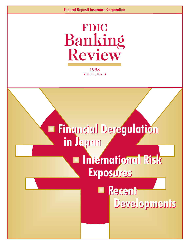# **FDIC** Banking Review

**1998 Vol. 11, No. 3**

# Financial Deregulation Financial Deregulation in Japan in Japan

# International Risk International Risk Exposures Exposures

# Recent Recent Developments Developments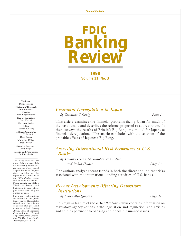

**1998 Volume 11, No. 3** 

#### Chairman Donna Tanoue Division of Research and Statistics, **Director** Wm. Roger Watson Deputy Directors Barry Kolatch Steven A. Seelig Editor Steven A. Seelig Editorial Committee Jack T. Reidhill Detta Voesar Managing Editor Detta Voesar Editorial Secretary

Cathy Wright Design and Production

Geri Bonebrake

The views expressed are those of the authors and do not necessarily reflect official positions of the Federal Deposit Insurance Corporation. Articles may be reprinted or abstracted if the *FDIC Banking Review* and author(s) are credited. Please provide the FDIC's Division of Research and Statistics with a copy of any publications containing reprinted material.

Single-copy subscriptions are available to the public free of charge. Requests for subscriptions, back issues or address changes should be mailed to: *FDIC Banking Review*, Office of Corporate Communications, Federal Deposit Insurance Corporation, 550 17th Street, N.W., Washington, DC 20429.

# *[Financial Deregulation in Japan](#page-2-0)*

*by Valentine V. Craig Page 1*

This article examines the financial problems facing Japan for much of the past decade and describes the reforms proposed to address them. It then surveys the results of Britain's Big Bang, the model for Japanese financial deregulation. The article concludes with a discussion of the probable effects of Japanese Big Bang.

# *[Assessing International Risk Exposures of U.S.](#page-14-0) Banks*

*by Timothy Curry, Christopher Richardson, and Robin Heider Page 13*

The authors analyze recent trends in both the direct and indirect risks associated with the international lending activities of U.S. banks.

# *[Recent Developments Affecting Depository](#page-32-0) Institutions*

*by Lynne Montgomery Page 31*

This regular feature of the *FDIC Banking Review* contains information on regulatory agency actions, state legislation and regulation, and articles and studies pertinent to banking and deposit insurance issues.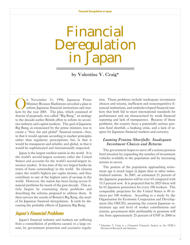# <span id="page-2-0"></span>Financial Deregulation in Japan

by Valentine V. Craig\*

n November 11, 1996, Japanese Prime Minister Ryutaro Hashimoto unveiled a plan to reform Japanese financial institutions and markets by the year 2001. The plan, which consisted of dozens of proposals, was called "Big Bang," an analogy to the decade-earlier British effort to reform its securities industry and capital markets. The goal of Japanese Big Bang, as enunciated by the prime minister, was to create a "free, fair and global" financial system-free, in that it would operate according to market principles rather than regulatory prescriptions; fair, in that it would be transparent and reliable; and global, in that it would be sophisticated and internationally respected.

Japan is the largest creditor nation in the world. It is the world's second-largest economy (after the United States) and accounts for the world's second-largest insurance market. It has nine of the ten largest banks (in terms of loans outstanding) in the world. Its citizens enjoy the world's highest per capita income, and they contribute to one of the highest rates of savings in the world. However, the nation has been facing severe financial problems for much of the past decade. This article begins by examining these problems and describing the reforms proposed to address them. It then surveys the results of Britain's Big Bang, the model for Japanese financial deregulation. It ends by discussing the probable effects of Japanese Big Bang.

# **Japan's Financial Problems**

Japan's financial industry and markets are suffering from a constellation of problems caused, to a large extent, by government protection and excessive regula-

tion. These problems include inadequate investment choices and returns, inefficient and noncompetitive financial institutions, and underdeveloped financial markets that both fail to meet international standards for performance and are characterized by weak financial reporting and lack of transparency. Because of these problems, the country faces a potentially serious pension fund shortfall, a banking crisis, and a lack of respect for Japanese financial markets and currency.

#### *Looming Pension Shortfalls: Inadequate Investment Choices and Returns*

The government hopes to stave off a serious pension fund situation by expanding the number of investment vehicles available to the population and by increasing returns to savers.

The portion of the population approaching retirement age is much larger in Japan than in other industrialized nations. In 2007, an estimated 21 percent of the Japanese population will be over 65 compared with 15.5 percent now. It is projected that by 2025 there will be 61 Japanese pensioners for every 100 workers. The comparable projection for the United States is 49 retirees per 100 workers. According to a study by the Organization for Economic Cooperation and Development (the OECD), assuming the current Japanese retirement age and level of worker contributions and returns, government debt attributable to pensions will rise from approximately 25 percent of GNP in 2000 to

<sup>\*</sup> Valentine V. Craig is a Chartered Financial Analyst in the FDIC's Division of Research and Statistics.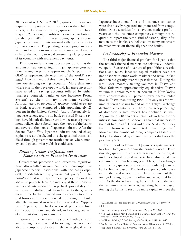300 percent of GNP in 2030.1 Japanese firms are not required to report pension liabilities on their balance sheets, but by some estimates, Japanese firms will have to spend 25 percent of profits on pension contributions by the year 2000.2 These demographics explain Japan's resistance to international calls for tax cuts to spur its economy. The pending pension problem is severe, and returns to investors must improve dramatically for the country to avoid consuming a large portion of its economy with retirement payments.

This pension fund crisis appears paradoxical, as the amount of Japanese savings is huge. Japanese gross national savings represent approximately 30 percent of GDP, or approximately one-third of the world's savings.3 However, most of this money has been funneled into low-yielding savings accounts. More than anywhere else in the developed world, Japanese investors have relied on savings accounts (offered by either Japanese domestic banks or the Japanese Postal System) as their primary investment vehicles. Approximately 60 percent of Japanese liquid assets are in bank accounts, compared with approximately 25 percent in the United States.4 And unfortunately for Japanese savers, returns on bank or Postal System savings have historically been very low because of government policies that subordinated the needs of the banks and savers to the needs of Japanese industry. After the Second World War, Japanese industry needed cheap capital to restart itself, and this cheap capital was subsidized through government restrictions on where money could go and what yields it could earn.

#### *Banking Crisis: Inefficient and Noncompetitive Financial Institutions*

Government protection and excessive regulation have also resulted in inefficient and noncompetitive Japanese financial institutions, with the banks especially disadvantaged by government policy.5 The post-World War II government policy referred to above, to promote Japanese industry at the expense of savers and intermediaries, kept bank profitability low in return for shifting risk from banks to the government. The banks funneled money cheaply to industrial firms that desperately needed funding to rebuild after the war—and in return for restricted or "appropriate" profits, the banks received protection from competition at home and abroad, and a tacit guarantee of a bailout should problems arise.

Japanese banks are currently saddled with bad loans and, having been protected for so long, have not been able to compete profitably in the new global arena.

Japanese investment firms and insurance companies were also heavily regulated and protected from competition. Most securities firms have not made a profit in years; and the insurance companies, although not required to report the same kind of asset-quality information as the banks, are believed by many analysts to be much worse off financially than the banks.

#### *Underdeveloped Financial Markets*

The third major financial problem for Japan is that the nation's financial markets are relatively underdeveloped. Because of a variety of prohibitions, restrictions, and taxes, Japanese capital markets have not kept pace with other world markets and have, in fact, deteriorated greatly over the past decade. During the late 1980s, monthly trading volumes in Tokyo and New York were approximately equal; today Tokyo's volume is approximately 20 percent of New York's, with approximately 70 percent fewer shares traded now in Tokyo than during 1988. Not only has the volume of foreign shares traded on the Tokyo Exchange declined substantially, but the exchange's percentage of domestic shares traded has declined as well. Approximately 18 percent of total trade in Japanese equities is now done in London, a threefold increase in the past five years.<sup>6</sup> One-third of the Nikkei 225 stock futures business is conducted from Singapore.7 Moreover, the number of foreign companies listed with Tokyo has dropped by approximately one-half over the past five years.

The underdevelopment of Japanese capital markets has both foreign and domestic consequences. Even though Japan is the world's largest creditor nation, its underdeveloped capital markets have dissuaded foreign investors from holding yen. Thus, the exchangerate risk for Japanese businesses, particularly Japanese banks, has increased. The banks are particularly sensitive to the weakness in the yen because much of their foreign lending is done in dollars and accounted for in yen. As the dollar has strengthened relative to the yen, the yen-amount of loans outstanding has increased, forcing the banks to set aside more capital to meet the

<sup>1</sup> "A Suitable Case for Treatment," *The Economist* (June 28, 1997): 9. 2 Ibid., 12.

<sup>3</sup> "A Giant Sucking Sound," *The Economist* (August 23, 1997): 53.

<sup>4</sup> "The Asian Tigers May Falter, but the Japanese Lion Is the Worry," *The New York Times* (November 13, 1997), D2.

<sup>5</sup> "A Time of Crisis," *FDIC Banking Review* 11, no. 2 (1998): 9-17.

<sup>6</sup> "A Big Bang in Slow Motion," *Financial Times* (December 10, 1996), 21.

<sup>7</sup> "Japanese Finance," *The Economist* (June 28, 1997): 1-18.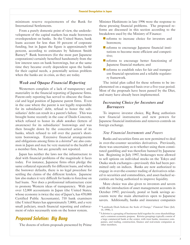minimum reserve requirements of the Bank for International Settlements.

From a purely domestic point of view, the underdevelopment of the capital markets has made borrowers overdependent on banks. In the United States, bank loans account for less than 10 percent of corporate funding, but in Japan the figure is approximately 60 percent, according to estimates by Salomon Smith Barney.8 Bank borrowers (for the most part Japanese corporations) certainly benefited handsomely from the low interest rates on bank borrowings, but at the same time they became overly dependent upon the banks for their capital needs, a potentially serious problem when the banks are in crisis, as they are today.

#### *Weak and Opaque Financial Reporting*

Westerners complain of a lack of transparency and materiality in the financial reporting of Japanese firms. Parent-only reporting has served to obscure the financial and legal position of Japanese parent firms. Even in the case where the parent is not legally responsible for its subsidiaries' debt, refusal to honor the subsidiaries' debt can result in a parent's failure. This was brought home recently in the case of Daido Concrete, which refused to honor its *shido nenshoes* (letters of awareness) for its subsidiaries' borrowings and was then brought down by the concerted action of its banks, which refused to roll over the parent's shortterm borrowings. Extensive financial arrangements and obligations among firms in a *keiretsu*<sup>9</sup> are also common in Japan and may be very material to the health of a member firm, but are generally not reported.

Japan has neither the laws nor the infrastructure to deal with financial problems of the magnitude it faces today. For instance, Japanese firms often pledge the same collateral repeatedly for different loans, and when the borrower defaults, there is no legal procedure for settling the claims of the different lenders. Japanese law also makes it very difficult for banks to foreclose on bad loans. Nor does a professional infrastructure exist to promote Western ideas of transparency. With just over 12,000 accountants in Japan (the United States, whose economy is twice the size of Japan's, has 470,000 Certified Public Accountants), 710 bank examiners (the United States has approximately 7,000), and a very small judiciary, much financial reporting and enforcement of rules necessarily rests on the honor system.

# **Proposed Solution: Big Bang**

The dozens of reform proposals presented by Prime

Minister Hashimoto in late 1996 were the response to these pressing financial problems. The proposed reforms are discussed in this section according to the breakdown used by the Ministry of Finance:

- **n** reforms to increase choice for investors and borrowers;
- $\blacksquare$  reforms to encourage Japanese financial institutions to become more efficient and competitive;
- **Terforms** to encourage better functioning of Japanese financial markets; and
- $\blacksquare$  reforms to establish rules for fair and transparent financial operations and a reliable regulatory framework.

The initial plan called for these reforms to be implemented on a staggered basis over a five-year period. Most of the proposals have been passed by the Diet, and many have already been implemented.

#### *Increasing Choice for Investors and Borrowers*

To improve investor choice, Big Bang authorizes new financial instruments and new powers for Japanese financial institutions and removes controls on foreign exchange.

#### *New Financial Instruments and Powers*

Banks and securities firms are now permitted to deal in over-the-counter securities derivatives. Previously, there was uncertainty as to whether using them constituted gambling and was therefore banned by Japanese law. Beginning in July 1997, brokerages were allowed to sell options on individual stocks on the Tokyo and Osaka stock exchanges—previously this had been permitted only on indices. Banks are now authorized to engage in over-the-counter trading of derivatives related to securities and commodities, and asset-backed securities are being authorized to improve liquidity.

More choice was also given to investors and savers with the introduction of asset management accounts in October 1997; previously, postal or bank savings accounts were the main alternatives open to Japanese savers. Additionally, banks and insurance companies

<sup>8</sup> "Landmark Deals Indicate the Scale of Change," *Financial Times* (July 14, 1998), 3.

<sup>9</sup> A *keiretsu* is a grouping of businesses held together by cross shareholdings and a common economic purpose. *Keiretsu* groupings typically consist of a large commercial bank at the center, with trust banks, insurance companies, and trading, construction, finance and real-estate companies as other members.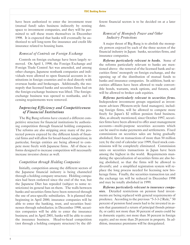have been authorized to enter the investment trust (mutual fund) sales business indirectly by renting space to investment companies, and they will be permitted to sell these trusts themselves in December 1998. It is expected that banks will eventually be authorized to sell long-term fire insurance and credit life insurance related to housing loans.

#### *Removal of Controls on Foreign Exchange*

Controls on foreign exchange have been largely removed. On April 1, 1998, the Foreign Exchange and Foreign Trade Control Act was amended, and among other changes, Japanese nonbank companies and individuals were allowed to open financial accounts in institutions in foreign countries and to deal directly with overseas banks and brokerages. Additionally, the monopoly that licensed banks and securities firms had on the foreign-exchange business was lifted. The foreignexchange business was opened to nonbanks, and licensing requirements were removed.

#### *Improving Efficiency and Competitiveness of Financial Institutions*

The Big Bang reforms have created a different competitive structure for financial institutions by authorizing competition through financial holding companies. The reforms are also stripping away many of the protected powers enjoyed by the different kinds of financial firms and will allow for broad-based competition; in particular, foreign entities are being allowed to compete more freely with Japanese firms. All of these reforms designed to increase competition will necessarily increase investor choice as well.

#### *Competition through Holding Companies*

Initially, competition among the different sectors of the Japanese financial industry is being channeled through a holding company structure. Holding companies had been outlawed since the end of the war, but the Japanese Diet has repealed (subject to some restrictions) its general ban on them. The walls between banks and securities firms have been removed through the use of area-specific subsidiaries. It is planned that beginning in April 2000, insurance companies will be able to enter the banking, trust, and securities businesses through subsidiaries; in December 1998, securities companies will be able to enter the insurance business; and in April 2001, banks will be able to enter the insurance business. Head-to-head competition (not through a holding company structure) by the different financial sectors is to be decided on at a later date.

#### *Removal of Monopoly Power and Other Industry Protections*

A major thrust of Big Bang is to abolish the monopoly powers enjoyed by each of the three sectors of the financial industry in Japan: banks, securities firms, and insurance companies.

*Reforms particularly relevant to banks.* Some of the reforms particularly relevant to banks are mentioned above: the removal of the licensed bank and securities firms' monopoly on foreign exchange, and the opening up of the distribution of mutual funds to banks and insurance companies. In addition, bank securities affiliates have been allowed to trade convertible bonds, warrants, stock options, and futures, and will be allowed to broker cash equities.

*Reforms particularly relevant to securities firms.* Independent investment groups organized as investment advisors (Western-style fund managers), including foreign firms, will be allowed to compete more freely for Japan's \$2 trillion pension fund business. Also, as already mentioned, since October 1997, securities firms have been allowed to offer asset management accounts-multi-purpose securities accounts which can be used to make payments and settlements. Fixed commissions on securities sales are being gradually abolished, first on transactions of more than 50 million yen; by the end of calendar year 1999, fixed stock commissions will be completely eliminated. Commission rates on securities transactions in Japan have been among the highest in the world. Requirements mandating the specialization of securities firms are also being abolished, so that the firms will be allowed to diversify; and a simplified registration system will replace the long process needed for licensing new brokerage firms. Finally, the securities transaction tax and the exchange tax will be reduced in December 1998 and may be totally abolished in 1999.

*Reforms particularly relevant to insurance companies.* Detailed restrictions on pension fund investments are being replaced with general requirements of prudence. According to the previous "5-3-3-2 Rule," 50 percent of pension fund assets had to be invested in assets that guaranteed a return of principal (bonds primarily, or cash); not more than 30 percent of assets could be in domestic equity; not more than 30 percent in foreign equity; and no more than 20 percent in property. In addition, insurance premiums will be deregulated.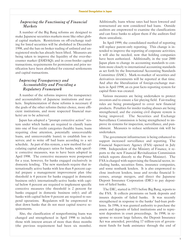#### *Improving the Functioning of Financial Markets*

A number of the Big Bang reforms are designed to make Japanese securities markets more like other global capital markets. Restrictions on off-exchange trading for listed securities will be abolished in December 1998, and the ban on broker trading of unlisted and unregistered stocks has already been lifted. Measures are being taken to improve the liquidity of the over-thecounter market (JASDAQ); and in cross-border capital transactions, requirements for permission and prior notification have been abolished for external settlements and capital transactions.

#### *Improving Transparency and Accountability and Providing a Regulatory Framework*

A number of the reforms improve the transparency and accountability of Japanese institutions and markets. Implementation of these reforms is necessary if the goals of the other reforms (better choice, more efficient institutions, and more respected financial markets) are to be achieved.

Japan has adopted a "prompt corrective action" system under which banks are required to classify loans into one of four credit categories (healthy loans, loans requiring close attention, potentially unrecoverable loans, and unrecoverable loans); to establish loss reserves; and to write off bad loans according to a set schedule. As part of this system, a new method for calculating capital adequacy ratios for banks, with specific corrective measures, was to have been adopted in April 1998. The corrective measures were postponed for a year, however, for banks engaged exclusively in domestic lending. The new standards require that internationally active banks with less than 8 percent capital prepare a management improvement plan (the threshold is 4 percent for banks engaged in domestic business only); internationally-active banks with capital below 4 percent are required to implement specific corrective measures (the threshold is 2 percent for banks engaged in domestic business only); and all banks with capital below 0 percent are required to suspend operations. Regulators will be empowered to shut down banks that do not meet capital reserve requirements.

Also, the classification of nonperforming loans was changed and strengthened in April 1998 to include those with interest arrears of more than three months (the previous requirement had been six months). Additionally, loans whose rates had been lowered and restructured are now considered bad loans. Outside auditors are empowered to examine the classifications and can force banks to adjust them if the auditors find them unrealistic.

In April 1999, the consolidated method of reporting will replace parent-only reporting. This change is intended to improve the reporting of corporate activities; it will also be needed, now that holding companies have been authorized. Additionally, in the year 2000 Japan plans to change its accounting standards to conform more closely to international accounting standards as set forth by the International Accounting Standards Committee (IASC). Mark-to-market of securities and derivatives investments will be reported at that time. And after the liberalization of foreign-exchange markets in April 1998, an ex post facto reporting system for capital flows was created.

Various measures are being undertaken to protect investors and to ensure a fair playing field. Fair-trading rules are being promulgated to cover new financial products. Penalties for insider trading abuses are being strengthened, and the existing civil dispute system is being improved. The Securities and Exchange Surveillance Commission is being strengthened to improve its systems for inspection, surveillance, and punishment. Measures to reduce settlement risk will be undertaken.

The government infrastructure is being enhanced to support increased surveillance and reporting. The Financial Supervisory Agency (FSA) opened in July 1998. Independent of the Ministry of Finance, it reports to the new Financial Revitalization Commission (which reports directly to the Prime Minister). The FSA is charged with supervising the financial sector, including banks, securities firms, insurance companies, and some nonbank lenders. It is also empowered to close insolvent lenders, issue and revoke financial licenses, arrange mergers, and direct the Japanese Deposit Insurance Corporation (DIC) to pay depositors of failed banks.

The DIC, started in 1971 before Big Bang, reports to the FSA. It collects premiums on bank deposits and insures deposits of failed banks. It was recently strengthened in response to the banks' bad-loan problems. In 1996, it was granted authority to purchase the assets and deposits of failed institutions and to represent depositors in court proceedings. In 1998, in response to recent large failures, the Deposit Insurance Act was amended, providing 17 trillion-yen of government funds for bank assistance through the end of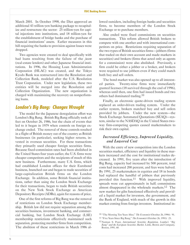March 2001. In October 1998, the Diet approved an additional 43 trillion-yen banking package to recapitalize and restructure the sector: 25 trillion-yen for capital injections into institutions, and 18 trillion-yen for the establishment of bridge banks and the purchase of financial institutions' assets. Earlier measures in this bill requiring the banks to provision against losses were dropped.

Two agencies were created to deal specifically with bad loans resulting from the failure of the *jusen* (real-estate lenders) and other Japanese financial institutions. In 1996, the Housing Loan Administration Corporation (HLAC) was created, and the Tokyo Kyodo Bank was restructured into the Resolution and Collection Bank, modeled after the U.S. Resolution Trust Corporation. Under new legislation, these two entities will be merged into the Resolution and Collection Organization. The new organization is charged with maximizing the recovery on nonperforming loans.

# **London's Big Bang: Changes Wrought**

The model for the Japanese deregulation effort was London's Big Bang. British Big Bang officially took effect on October 26, 1986, but the chain of events that led to it began in 1979 when controls on foreign exchange ended. The removal of these controls resulted in a flight of British money out of the country as British businesses (in particular), seeking higher returns, invested in overseas securities. For these transactions they primarily used cheaper foreign securities firms. Because fixed-commission rates had been abolished in the United States four years earlier, the U.S. firms were cheaper competitors and the recipients of much of this new business. Furthermore, many U.S. firms, which had established London offices for their Eurobond business, branched out and began to trade securities of large-capitalization British firms on the London Exchange. In addition, some British financial institutions, rather than using the London Stock Exchange for their transactions, began to trade British securities on the New York Stock Exchange as American Depository Receipts (ADRs), again for reasons of price.

One of the first reforms of Big Bang was the removal of restrictions on London Stock Exchange membership. British law did not require separation among the securities business, investment banking, and commercial banking, but London Stock Exchange (LSE) membership restrictions effectively maintained such separation, protecting member firms from competition. The abolition of these restrictions in March 1986 allowed outsiders, including foreign banks and securities firms, to become members of the London Stock Exchange or to purchase members.

Also ended were fixed commissions on securities transactions. This reform allowed British brokers to compete with one another and with international competitors on price. Restrictions requiring separation of the two types of British securities firms-jobbers (firms that traded on their own account and made markets in securities) and brokers (firms that acted only as agents for a commission) were also abolished. Previously, a firm could be either a jobber or a broker, and brokers were required to use jobbers even if they could match both buy and sell orders.

The bond market was also opened up to all interested parties. Twenty-nine firms were immediately granted licenses (18 survived through the end of 1996), whereas until then, one firm had issued bonds and two others had dominated trading.10

Finally, an electronic quote-driven trading system replaced an order-driven trading system. Under the earlier system, brokers matched buy and sell orders provided by jobbers. Under the new system-the Stock Exchange Automated Quotations (SEAQ)-system, similar to the NASDAQ in the United States twoway firm-competing quotes caused marketmakers to risk their own capital.

#### *Increased Efficiency, Improved Liquidity, and Lowered Cost*

With the entry of new competition into the London securities market, efficiency and liquidity in these markets increased and the cost for institutional trades decreased. In 1991, five years after the introduction of Big Bang, capacity had increased by 500 percent, total costs had increased 200 percent, and fees were halved. By 1991, 25 marketmakers in equities and 18 in bonds had replaced the handful of jobbers that previously provided this function.<sup>11</sup> With improved liquidity, spreads were cut approximately in half; commissions almost disappeared in the wholesale markets.12 The new market for gilts functioned effectively and provided a liquid market for investors, the government, and the Bank of England, with much of the growth in this market coming from foreign investors. Institutional in-

<sup>10</sup> "The Morning Ten Years After," *The Economist* (October 26, 1996): 91.

<sup>11</sup> "Five Years Since Big Bang," *The Economist* (October 26, 1991): 23.

<sup>12</sup> Norman S. Poser, *International Securities Regulation, London's "Big Bang" and the European Securities Market*, Little, Brown and Company, Boston, 1991, 68.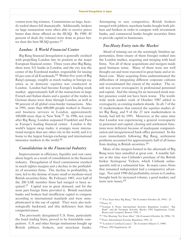vestors were big winners. Commissions on large, heavily traded shares fell dramatically. Additionally, brokers on large transactions were often able to receive prices better than those offered on the SEAQ. By 1989, 45 percent of deals (by volume) were done at prices better than the best SEAQ quotes.<sup>13</sup>

#### *London: A World Financial Center*

Big Bang financial deregulation is generally credited with propelling London into its position as the major European financial center. Three years after Big Bang, there were 521 banks in London, and the city was the center of the Eurobond market, responsible for issuing 65 per cent of all Eurobonds.14 Within five years of Big Bang's passage, roughly as much trading in foreign equities as in domestic equities was conducted in London. London had become Europe's leading stock market: approximately half of the transactions in large French and Italian shares and a quarter of the trades in German shares were done through London, as well as 90 percent of all global cross-border transactions. Also in 1991, more than 600,000 people worked in finance and business services in London, approximately 100,000 more than in New York.15 In 1996, ten years after Big Bang, London surpassed Frankfurt and Paris as Europe's leading financial center. London is the world's largest swap trader, it arranges more international mergers than any other city in the world, and it is home to the largest foreign-exchange and international insurance markets in the world.16

#### *Consolidation in the Financial Industry*

Improvements in efficiency, liquidity and cost came about largely as a result of consolidation in the financial industry. Deregulation of fixed commissions resulted in much tighter margins and a decline in the profitability of securities firms. The decline in profitability, in turn, led to the demise of many small or medium-sized British securities firms. By February 1987, over half of the 200 LSE member firms had merged or been acquired.17 Capital was in great demand, and for the most part foreign firms provided it. British merchant banks and brokers had insufficient capital to compete according to international standards and were unsophisticated in the use of capital. They were also technologically backward, and this deficiency hurt their competitiveness.

The previously deregulated U.S. firms, particularly the bond trading firms, proved to be formidable competitors. U.S. and other foreign institutions bought up British jobbers, brokers, and merchant banks. Attempting to stay competitive, British brokers merged with jobbers, merchant banks bought both jobbers and brokers in order to compete with investment banks, and commercial banks bought securities firms to provide capital to businesses.

#### *Too�asty Entry into the Market*

Afraid of missing out on the seemingly limitless opportunities, firms (many of them foreign) rushed into the London market, acquiring and merging with local firms. Not all of these acquisitions and mergers made good business sense. Many of them were not well thought out and were executed in great haste and at inflated cost. Many acquiring firms underestimated the difficulties of integrating different corporate cultures and overestimated the extent of the market. The result was severe overcapacity in professional personnel and capital. And the timing for an increased stock market presence could not have been worse. The worldwide stock market crash of October 1987 added to overcapacity, as existing markets shrank. In all, 7 of the 32 marketmakers that entered the equities market after Big Bang, and 9 of the 27 new marketmakers in bonds, had left by 1991. Moreover, at the same time that London was experiencing a general overcapacity in personnel and capital, clearing and settlement functions were deficient because of inadequate computerization and inexperienced back-office personnel. In the years immediately following Big Bang, settlement problems accounted for approximately half of all losses from dealing in British securities.18

Many of the mergers formed in the aftermath of Big Bang were later annulled at great cost. A notable failure at the time was Citibank's purchase of the British broker Scrimgeour Vickers, which Citibank subsequently sold at a substantial loss. In many cases, firms that remained independent had a comparative advantage. Not until 1990 did profitability return to London, brought back by increased volume, a good market, and more new issues.<sup>19</sup>

- 17 Poser, *International Securities Regulation*, 1991, 32.
- 18 "London's Certified Lunacy," *The Economist* (March 11, 1989).
- 19 Poser, 1992 Supplement, 20.

<sup>13</sup> "Five Years Since Big Bang," *The Economist* (October 26, 1991): 23. 14 Poser, 75.

<sup>15</sup> Norman S. Poser, *International Securities Regulation, London's "Big Bank" and the European Securities Market*, 1992 Supplement, Little, Brown and Company, Boston, 1992, 3.

<sup>16</sup> "The Morning Ten Years After," *The Economist* (October 26, 1996): 91.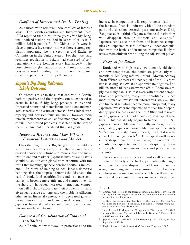#### *Conflicts of Interest and Insider Trading*

As barriers were removed, new conflicts of interest arose. The British Securities and Investment Board (SIB) reported that in the three years after Big Bang, unauthorized trading resulted in losses of at least 15 million British pounds.20 No Chinese walls were in place to protect investors,  $21$  nor was there a strong regulatory apparatus, like the Securities and Exchange Commission in the United States. For the most part, securities regulation in Britain had consisted of selfregulation via the London Stock Exchange.22 The post-reform conglomeration of banks, brokers, and jobbers made insider trading easier, and no infrastructure existed to police the industry effectively.

# **Japan's Big Bang Reforms: Likely Outcome**

Outcomes similar to those that occurred in Britain, both the positive and the negative, can be expected to occur in Japan if Big Bang proceeds as planned. Improved returns and more vibrant institutions and markets, as well as the closure of domestic firms, initial overcapacity, and increased fraud are likely. However, there remain implementation and enforcement problems, and certain unaddressed problems, that stand in the way of the full attainment of the stated Big Bang goals.

#### *Improved Returns, and More Vibrant Financial Institutions and Markets*

Over the long run, the Big Bang reforms should result in greater competition, which should produce increased choice and returns and more vibrant financial institutions and markets. Japanese investors and savers should be able to earn global rates of return, with the result that looming Japanese pension shortfalls are lessened. In terms of helping to heal Japan's domestic banking crisis, the proposed reforms should enable the nation's banks (and securities firms and insurance companies) to become more efficient and competitive. In the short run, however, increased international competition will probably exacerbate their problems. Finally, given such a large economy and the problems afflicting other Asian financial centers, with decreased government intervention and increased transparency Japanese financial markets should once again become internationally significant.

#### *Closure and Consolidation of Financial Institutions*

As in Britain, the withdrawal of protections and the

increase in competition will require consolidation in the Japanese financial industry, with all the attendant pain and dislocation. According to some analysts, if Big Bang succeeds, a third of Japanese financial institutions will disappear through mergers and closings.<sup>23</sup> Japanese banks, securities firms, and insurance companies are expected to fare differently under deregulation, with the banks and insurance companies likely to have a more difficult time during the adjustment period.

#### *Prospect for Banks*

Burdened with high costs, low demand, old debt, and new competition, the banks are particularly vulnerable as Big Bang reforms unfold. Morgan Stanley Dean Witter estimates the net capital of the 19 largest banks at August 1998 at an approximate negative \$7.6 billion, after bad loans are written off.<sup>24</sup> There are simply too many banks, so that even with current competition and protection, many are unprofitable. Once more attractive investment alternatives are available and financial activities become more transparent, many Japanese investors are expected to reduce their dependency upon the banks and the Post Office and to invest in the Japanese stock market and overseas capital markets. This has already begun to happen. In 1993, Japanese households owned virtually no foreign securities; today, Japanese households own approximately \$685 billion in offshore investments, much of it invested in U.S. savings bonds.25 This capital outflow occurred despite onerous tax-reporting requirements for crossborder capital transactions and despite higher tax rates applied to nondomestic bank and postal savings accounts.

To deal with new competition, banks will need to restructure. Already some banks, particularly the larger ones, have begun to dispose of bad loans and are entering into arrangements to securitize and sell real-estate loans in international markets. They will also have to raise deposit interest rates to attract depositors.

- 23 Jesper Koll of J. P. Morgan and Co. quoted in "Two Japans, The Gulf Between Corporate Winners and Losers Is Growing," *Business Week* (January 27, 1997): 24-28.
- 24 "Japanese Bank Crisis Said to Be Worsening," *The Washington Post* (September 9, 1998).
- 25 "Flight of Savings," *The London Daily Telegraph* (August 9, 1998), 4.

<sup>20</sup> Ibid., 1.

<sup>21</sup> "Chinese wall" refers to the forced separation in a firm of investment banking and its trading and investment research functions to eliminate the use of insider information.

<sup>22</sup> Big Bang was followed ten days later by the Financial Services Act, which, for the first time in England, introduced a comprehensive system for regulating financial services.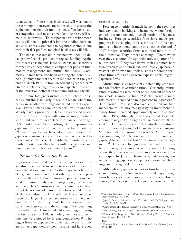Loan demand from strong businesses will weaken, as these stronger borrowers are better able to access the capital markets for their funding needs. Weaker, smaller companies, used to subsidized lending rates, will remain as borrowers. To prosper in this environment, banks will need to price risk into the lending decision, and as businesses are forced to pay interest rates in line with their risk profiles, marginal businesses will fail.

The banks that remain in business will need to develop new financial products to replace lending. Again, this process has begun: Japanese banks and securities companies are beginning to compete for pension fund money management and mutual fund sales. Commercial banks have also been entering the bond business, gaining a market share of 60 percent in the year ending March 1997, up from 36 percent a year earlier.<sup>26</sup> On the whole, the larger banks are expected to weather the transition better than medium and small banks.

In Britain, foreigners rushed in to purchase British banks, but this is unlikely to occur in Japan, where the banks are saddled with huge debts and are still expensive. Instead, many foreign financial institutions that already have a presence in Japan are expected to expand internally. Others will form alliances, partnerships, and ventures with Japanese banks. Although U.S. banks have been cutting their exposure to Japan-it fell nearly 19 percent in the first quarter of 1998-foreign banks have done well overall, as Japanese consumers and corporations have flocked to these banks' relative safety. Citibank, for instance, currently reports more than half a million customers and more than one million accounts in Japan.<sup>27</sup>

#### *Prospect for Securities Firms*

Japanese small and medium-sized securities firms are also not expected to compete very well in the new deregulated environment. As the major beneficiaries of regulated commissions and other government protections, they are high-cost, low-tech producers and are weak in mutual funds, asset management, derivatives, and research. Commissions have accounted for at least half of the revenue of many smaller brokers. Almost all of the second-tier brokers suffered losses last year. Even the larger Japanese securities firms have not done well. Of the "Big Four" houses, Yamaichi was bankrupted last year, and the earnings of the remaining three—Nomura, Daiwa, and Nikko—plunged during the first quarter of 1998 as trading volumes and commissions were eroded by foreign competition.<sup>28</sup> The bigger firms are expected to do better, however, as they are not as dependent on commissions and have good

research capabilities.

Foreign competition is much fiercer in the securities industry than in banking and insurance, where foreigners still account for only a small portion of Japanese business. Foreign securities firms have made great progress in developing their securities, fund management, and investment banking business. At the end of 1997, foreign securities firms accounted for a third of the turnover on Tokyo's stock exchange. The previous year they accounted for approximately a quarter of total business.29 They have drawn their customers both from overseas and from Japan, with many Japanese investors having switched their business to foreign securities firms after scandals were exposed at the big four Japanese firms.

Mutual fund sales represent a potentially large market for foreign investment firms. Currently, mutual fund investments account for only 4 percent of Japan's household savings. In June 1998, the foreign share of this market increased from 2 percent to 7 percent.<sup>30</sup> The foreign firms have also excelled in pension fund management. Money managed by all investment advisory firms increased approximately one-third from 1996 to 1997; although from a very small base, the amount managed by foreign firms increased by 80 percent.31 Two years after its entry into the investment trust business in Japan, Goldman Sachs was managing \$6 billion; after a four-month presence, Merrill Lynch was managing \$2.5 billion; and after 17 months in Japan, Alliance Capital had \$5 billion under management.<sup>32</sup> However, foreign firms have achieved perhaps their greatest success in investment banking, where they have enjoyed great success in raising foreign capital for Japanese businesses, underwriting new issues, selling Japanese companies' cross-share holdings, and managing derivatives.

Although no Japanese securities firm has been purchased outright by a foreign firm, several major foreign firms have established relationships with them. For instance, Barclays established a joint venture with the

<sup>26</sup> "Japanese Securities Firms: Once There Were Four," *The Economist* (September 27, 1997): 80.

<sup>27</sup> "Japan's Down, Citibank's Up," *U.S. News and World Report* (September 7, 1998): 34-37.

<sup>28</sup> "Competition Hits Japan's Brokers," *Financial Times* (July 16, 1998), 41.

<sup>29</sup> "Rich Pickings for the Gaiijin," *The Economist* (May 16, 1998): 83.

<sup>30</sup> "Financial Big Boys of the West Go on a 'Dating Frenzy,'" *Financial Times* (August 12, 1998), 21.

<sup>31</sup> Ibid.

<sup>32</sup> "Finance Firms Hope to Strike Gold in Japan," *Star Tribune* (June 5, 1998), 1D.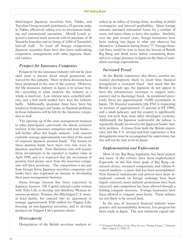third-largest Japanese securities firm, Nikko; and Travelers Group recently purchased a 25 percent stake in Nikko, effectively taking over its investment banking and international operations. Merrill Lynch acquired a national retail network with its purchase of 30 Yamaichi branches and its hiring of 2,000 of Yamaichi's laid-off staff. To ward off foreign competition, Japanese securities firms have also been undertaking cooperative arrangements with other Japanese financial entities.

#### *Prospect for Insurance Companies*

Prospects for the insurance industry will not be clear until more is known about which protections are waived for this industry. Many of these decisions have been postponed to the turn of the century. However, the life insurance industry in Japan is in serious trouble-according to some analysts, the industry as a whole is insolvent. Low interest rates, cancelled policies, and a bad stock market have hurt the industry badly. Additionally, insurance firms have been big lenders to brokerages and banks, so financial problems in those industries will be felt by the insurance companies as well.

The opening up of the asset management business to other participants-previously the almost exclusive territory of the insurance companies and trust bankswill further affect this fragile industry. Life insurers currently manage approximately one-third of the assets of corporate Japanese pension funds. The returns on these pension funds have been very low, even by Japanese standards. New disclosure laws will require these investments to be reported at market value in April 1999, and it is expected that the movement of pension fund money away from the insurance companies will then accelerate. The competition is not just from foreign firms; Japanese securities companies and banks have also expressed an interest in developing their asset management business.

Some foreign interest has been expressed in Japanese insurers. GE Capital entered a joint venture with Toho Life to develop and distribute Western insurance products. Putnam, the fifth-largest U.S. mutual fund family, has entered into an agreement to manage approximately \$700 million for Nippon Life, focusing on non-Japanese securities, and to develop products for Nippon Life's pension clients.

#### *Overcapacity*

Deregulation of the British securities markets re-

sulted in an influx of foreign firms, resulting in initial overcapacity and lowered profitability. Many foreign entrants sustained substantial losses for a number of years, and many chose to leave the market. Similarly, over the past several years, foreign businesses have been rushing into Japan in what one observer has likened to "a financial dating frenzy."<sup>33</sup> Foreign financial firms would be wise to learn the lessons of British Big Bang and think twice before committing themselves to a large presence in Japan on the basis of unrealistic earnings expectations.

#### *Increased Fraud*

As the British experience also shows, another unwanted development likely to result from financial deregulation is increased fraud. And much like the British a decade ago, the Japanese do not appear to have the infrastructure necessary to support transparency and to discourage fraud. As mentioned previously, there are approximately 12,000 accountants in Japan, 710 financial examiners (the FSA is requesting an increase of approximately 15 percent in FY 1999), and a small judiciary; and the country is significantly more low-tech than most other developed countries. Additionally, the Japanese underworld, the *yakuza*, is reportedly deeply involved in the Japanese banks' baddebt problem. A lesson from both the British experience and the U.S. savings-and-loan experience is that deregulation must be accompanied by supervision, but this will not be easy to do in Japan.

#### *Implementation and Enforcement*

Most of the Big Bang legislation has been passed, and many of the reforms have been implemented. Especially on the first three goals of Big Bang—increased choice, increased competition, and vibrant financial markets-a great deal has been accomplished. New financial instruments and powers have been introduced, controls on foreign exchange have been largely removed, many industry protections have been removed, and competition has been allowed through a holding company structure. Foreign businesses have been allowed to compete more freely. These reforms are not likely to be turned back.

In the area of increased financial industry transparency and accountability, however, less progress has been made in Japan. The new minimum capital ade-

<sup>33</sup> "Financial Big Boys of the West Go on a 'Dating Frenzy,'" *Financial Times* (August 12, 1998), 21.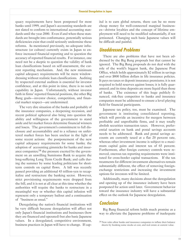quacy requirements have been postponed for most banks until 1999, and Japan's accounting standards are not slated to conform to international accounting standards until the year 2000. Even if and when these standards are brought into conformance, potentially serious deficiencies exist that could seriously undermine these reforms. As mentioned previously, no adequate infrastructure (or culture) currently exists in Japan to enforce increased financial reporting and to question the accuracy of reported financial results. For instance, one need not be a skeptic to question the validity of bank loan classifications based on self-assessment, the current reporting mechanism. And, the new minimum capital adequacy requirements will be mere windowdressing without realistic loan classifications. Auditing by respected external auditors is essential for investor confidence, and at this point in time, there is no such capability in Japan. Unfortunately, without investor faith in firms' reported financial positions, the other Big Bang goals—investor choice, competition, and financial market respect-are undermined.

The very dire situation of the banks and probably of the insurance companies, a deepening recession, and recent political upheaval also bring into question the ability and willingness of the government to stand aside and let market forces determine financial winners and losers. The government's commitment to full disclosure and accountability and to a reliance on unfettered market forces has been unclear in the light of some recent actions: the postponement of the new capital adequacy requirements for some banks; the adoption of accounting gimmicks for banks and insurance companies; $3<sup>4</sup>$  the pressure exerted by the government on an unwilling Sumitomo Bank to acquire the long-suffering Long Term Credit Bank; and calls during the summer by some leading politicians for shortterm controls on capital flows. A bill was recently passed providing an additional 43 trillion-yen to recapitalize and restructure the banking sector. However, strict provisioning requirements were dropped from the bill, and it is not at all clear at this time whether the authorities will require the banks to restructure in a meaningful way or whether this capital infusion will represent only a temporary bailout and a continuation of "business as usual."

Deregulating the nation's financial institutions will be very difficult because deregulation will affect not only Japan's financial institutions and businesses (how they are financed and operated) but also basic Japanese values. In a deregulated, competitive environment, business practices in Japan will have to change. If cap-

ital is to earn global returns, there can be no more cheap money for well-connected marginal businesses-*keiretsu* loyalties and the concept of lifetime employment will need to be modified substantially, if not jettisoned. Changing such basic Japanese values will be difficult and painful.

# **Unaddressed Problems**

There are also problems that have not been addressed by the Big Bang proposals but that cannot be ignored. The Big Bang proposals do not deal with the role of the world's biggest bank, the Japanese Post Office, which holds approximately \$2 trillion in savings and over \$800 billion dollars in life insurance policies. It pays no taxes or deposit insurance premiums; it is not required to hold reserves against losses; it is fully guaranteed; and its time deposits are more liquid than those of banks. The existence of this huge publicly financed, risk-free competitor to banks and insurance companies must be addressed to ensure a level playing field for financial participants.

Japanese tax policy, too, must be examined. The government is instituting consolidated reporting, which will provide an incentive for mergers between profitable and unprofitable firms, and it may totally abolish securities transaction taxes. However, preferential taxation on bank and postal savings accounts needs to be addressed. Bank and postal savings accounts are currently taxed at a flat 20 percent rate, whereas other investment income is subject to a maximum capital gains and interest tax of 65 percent. Furthermore, after foreign currency controls were removed, onerous tax reporting requirements were instituted for cross-border capital transactions. If the tax treatments for different investment alternatives remain substantially different, the effect of removing foreignexchange restrictions and increasing the investment options for investors will be limited.

Additionally, many decisions about the deregulation and opening up of the insurance industry have been postponed for action until later. Government behavior toward the insurance industry will have a substantial effect on the outlook for Japanese deregulation.

# **Conclusion**

Big Bang financial reform holds much promise as a way to alleviate the Japanese problems of inadequate

<sup>34</sup> New rules allow banks and insurance companies to inflate their balance sheets by booking some stocks at cost, and real estate at current value.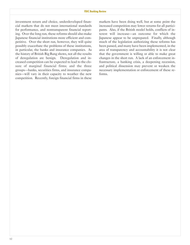investment return and choice, underdeveloped financial markets that do not meet international standards for performance, and nontransparent financial reporting. Over the long run, these reforms should also make Japanese financial institutions more efficient and competitive. Over the short run, however, they will quite possibly exacerbate the problems of these institutions, in particular, the banks and insurance companies. As the history of British Big Bang shows, not all the results of deregulation are benign. Deregulation and increased competition can be expected to lead to the closure of marginal financial firms; and the three groups-banks, securities firms, and insurance companies-will vary in their capacity to weather the new competition. Recently, foreign financial firms in these

markets have been doing well, but at some point the increased competition may lower returns for all participants. Also, if the British model holds, conflicts of interest will increase-an outcome for which the Japanese appear to be unprepared. Finally, although much of the legislation authorizing these reforms has been passed, and many have been implemented, in the area of transparency and accountability it is not clear that the government is willing or able to make great changes in the short run. A lack of an enforcement infrastructure, a banking crisis, a deepening recession, and political dissension may prevent or weaken the necessary implementation or enforcement of these reforms.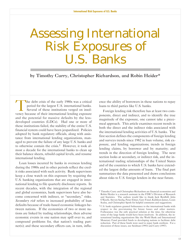# <span id="page-14-0"></span>Assessing International Risk Exposures of U.S. Banks

by Timothy Curry, Christopher Richardson, and Robin Heider\*

The debt crisis of the early 1980s was a critical period for the largest U.S. international banks. Several of these institutions verged on insolvency because of their international lending exposure and the potential for massive defaults by the lessdeveloped countries (LDCs). Had one or more of these institutions failed, the stability of the entire U.S. financial system could have been jeopardized. Policies adopted by bank regulatory officials, along with assistance from international lending organizations, managed to prevent the failure of any large U.S. banks and to otherwise contain the crisis.<sup>1</sup> However, it took almost a decade for the international banks to clean up their balance sheets, rebuild capital levels, and resume international lending.

Loan losses incurred by banks in overseas lending during the 1980s and in other periods reflect the credit risks associated with such activity. Bank supervisors keep a close watch on this exposure by requiring the U.S. banking organizations that are engaged in international lending to file quarterly disclosure reports. In recent decades, with the integration of the regional and global economies, bank supervisors have also become concerned with indirect, or "secondary," risks. *Secondary risk* refers to increased probability of loan defaults because of trade-based economic linkages between nations. If the economies of two or more nations are linked by trading relationships, then adverse economic events in one nation may spill over to, and compound problems for, that nation's trading partner(s); and these secondary effects can, in turn, influ-

ence the ability of borrowers in these nations to repay loans to third parties like U.S. banks.

Foreign lending risk therefore has at least two components, direct and indirect, and to identify the true magnitude of the exposure, one cannot take a piecemeal approach. This article examines recent trends in both the direct and the indirect risks associated with the international lending activities of U.S. banks. The first section defines the components of foreign lending and surveys trends since 1982 in loan volume, risk exposure, and lending organizations; trends in foreign lending claims, by borrower and by maturity; and trends in the direction of foreign lending. The next section looks at secondary, or indirect risk, and the international trading relationships of the United States and of the countries to which U.S. banks have extended the largest dollar amounts of loans. The final part summarizes the data presented and draws conclusions about risks to U.S. foreign lenders in the near future.

<sup>\*</sup> Timothy Curry and Christopher Richardson are financial economists and Robin Heider is a research assistant in the FDIC's Division of Research and Statistics. The authors would like to thank Jack Reidhill, John O'Keefe, Steven Seelig, Peter Elmer, Gary Fissel, Kathleen James, Louis Scalza, and Christopher Spoth for helpful comments and suggestions.

<sup>1</sup> U.S. bank regulators granted forbearance to the international banks with respect to the provisioning for future losses and other matters. Forbearance was the only practical solution at the time, for otherwise some of the large banks would have been insolvent. In addition, the international lending organizations like the World Bank and International Monetary Fund provided funds to developing nations to facilitate debt reduction. Part of these funds were used to repay bank creditors. For a discussion of these issues, see Seidman (1993) and Curry (1997).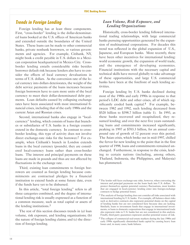# **Trends in Foreign Lending**

Foreign lending has at least three components. First, "cross-border" lending is the dollar-denominated loans booked at the U.S. offices of American banks and extended outside the boundaries of the United States. These loans can be made to other commercial banks, private nonbank borrowers, or various governments and agencies. For example, Citibank, NY, might book a credit payable in U.S. dollars to a Mexican corporation headquartered in Mexico City. Crossborder lending entails considerable risks besides borrower default risk because lenders also have to consider the effects of local currency devaluations in terms of U.S. dollars. As the conversion rate of the local currency into dollars deteriorates, the weight of the debt service payments of the loans increases because foreign borrowers have to earn more units of the local currency to meet their dollar-denominated debt payments. Loan defaults caused by collapsing exchange rates have been associated with most international financial crises, including that of the early 1980s and the current Asian and Russian crises.

Second, international banks also engage in "localcurrency" lending, which consists of loans that branches or subsidiaries of U.S. banks in a foreign country extend in the domestic currency. In contrast to crossborder lending, this type of activity does not involve direct exchange-rate risks for the borrower.<sup>2</sup> For example, when Citibank's branch in London extends loans in the local currency (pounds), they are considered local-currency loans rather than cross-border loans. The interest and principal payments on these loans are made in pounds and thus are not affected by fluctuations in the exchange rate.

Third, existing loan commitments to foreign borrowers are counted as foreign lending because commitments are contractual pledges by a financial institution to extend funds at some future date, even if the funds have yet to be disbursed.

In this article, "total foreign lending" refers to all three categories combined, and the degree of international lending risk is usually expressed as a function of a common measure, such as total capital or assets of the lending institutions.3

The rest of this section discusses trends in (a) loan volume, risk exposure, and lending organizations; (b) the nature of foreign lending claims; and (c) the direction of foreign lending.

#### *Loan Volume, Risk Exposure, and Lending Organizations*

Historically, cross-border lending followed international trading relationships, with large commercial banks pursuing opportunities generated by the expansion of multinational corporations. For decades this trend was reflected in the global expansion of U.S., Japanese, and European banks. More recently, there have been other incentives for international lending: world economic growth, the expansion of world trade, and the emergence of developing economies. Financial institutions with the necessary capital and technical skills have moved globally to take advantage of these opportunities, and large U.S. commercial banks have been at the forefront of such lending activities.

Foreign lending by U.S. banks declined during most of the 1980s and early 1990s in response to that period's LDC debt and other crises, all of which significantly eroded bank capital.4 For example, between 1982 and 1992, such lending decreased from \$520 billion to \$398.7 billion (table 1). In 1993, as these banks recovered and recapitalized, they resumed lending; and over the next five years outstanding loans and commitments increased significantly, peaking in 1997 at \$703.3 billion, for an annual compound rate of growth of 12 percent over this period. The Asian crisis, which broke out in mid-1997, chilled the fervor for new lending to the point that in the first quarter of 1998, loans and commitments remained unchanged. Furthermore, in response to the crisis, lending to certain nations (including, among others, Thailand, Indonesia, the Philippines, and Malaysia) has plummeted.

<sup>&</sup>lt;sup>2</sup> The lender still faces exchange-rate risks, however, when converting the interest and principal payments on the loans back into U.S. dollars. To protect themselves against potential currency fluctuations, most lenders that are engaged in local-currency lending enter into foreign-exchange contracts to hedge potential losses.

<sup>3</sup> The analysis of foreign lending does not consider *all* risks associated with international lending by U.S. banks. For example, off-balance-sheet risks such as derivative contracts also represent potential drains on the capital of lending banks but are not considered here because data are lacking. Similarly, loans to investment funds that engage in international investments, or loans to domestic corporations that engage in international trade also represent risks to U.S. banks but are not considered in this analysis. Finally, third-party guarantees represent another potential source of risk.

<sup>&</sup>lt;sup>4</sup> The collapse of commercial real-estate markets during the late 1980s and early 1990s significantly diminished bank capital by causing heavy loan losses and, in many cases, bank failures.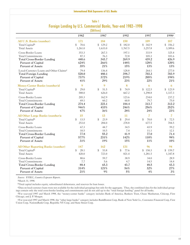#### **International Risk Exposures of U.S. Banks**

#### Table 1 Foreign Lending by U.S. Commercial Banks, Year-end 1982-1998 (\$Billions)

|                                        |            | 14                     |            |                |                                  |
|----------------------------------------|------------|------------------------|------------|----------------|----------------------------------|
|                                        | 1982       | 1987                   | 1992       | 1997           | 1998 <sup>a</sup>                |
| All U.S. Banks (number)                | 171        | 184                    | 150        | 109            | 107                              |
| Total Capital <sup>b</sup>             | 70.6<br>\$ | \$.<br>129.2           | \$182.0    | 342.9<br>\$    | $\sqrt[6]{\frac{1}{2}}$<br>356.2 |
| <b>Total Assets</b>                    | 1,261.0    | 1,633.0                | 1,767.5    | 3,257.8        | 3,389.6                          |
| Cross-Border Loans                     | 353.3      | 267.3                  | 197.1      | 333.9          | 325.4                            |
| <b>Total Commitments</b>               | 87.3       | 76.3                   | 72.8       | 105.3          | 101.6                            |
| <b>Total Cross-Border Lending</b>      | 440.6      | 343.7                  | 269.9      | 439.2          | 426.9                            |
| Percent of Capital                     | 624%       | 266%                   | 148%       | 128%           | 120%                             |
| <b>Percent of Assets</b>               | 35%        | 21%                    | 15%        | 13%            | 13%                              |
| Local-Currency Loans and Other Claimsc | 79.4       | 136.4                  | 128.8      | 264.1          | 277.0                            |
| <b>Total Foreign Lending</b>           | 520.0      | 480.1                  | 398.7      | 703.3          | 703.9                            |
| Percent of Capital                     | 737%       | 372%                   | 219%       | 205%           | 198%                             |
| <b>Percent of Assets</b>               | 41%        | 29%                    | 23%        | 22%            | 21%                              |
| Money-Center Banks (number)d           | 9          | 9                      | 8          | 6              | 6                                |
| Total Capital <sup>b</sup>             | 29.0<br>\$ | $\mathfrak{S}$<br>51.5 | \$<br>74.9 | 122.5<br>\$    | 123.9<br>$\mathfrak{L}$          |
| <b>Total Assets</b>                    | 588.0      | 626.0                  | 667.2      | 1,298.8        | 1,337.3                          |
| Cross-Border Loans                     | 205.3      | 162.9                  | 123.6      | 234.0          | 237.2                            |
| <b>Total Commitments</b>               | 69.1       | 60.2                   | 60.8       | 79.7           | 75.0                             |
| <b>Total Cross-Border Lending</b>      | 274.4      | 223.1                  | 184.4      | 313.7          | 312.2                            |
| Percent of Capital                     | 946%       | 433%                   | 246%       | 256%           | 252%                             |
| <b>Percent of Assets</b>               | 47%        | 36%                    | 28%        | 24%            | 23%                              |
| All Other Large Banks (number)e        | 15         | 13                     | 11         | $\overline{7}$ | $\overline{7}$                   |
| Total Capital <sup>b</sup>             | 13.5<br>\$ | \$<br>23.9             | \$<br>29.4 | 70.0<br>\$     | \$<br>72.5                       |
| <b>Total Assets</b>                    | 253.0      | 284.0                  | 278.8      | 677.5          | 704.5                            |
| Cross-Border Loans                     | 67.3       | 44.7                   | 34.5       | 65.9           | 59.2                             |
| <b>Total Commitments</b>               | 10.5       | 10.5                   | 7.4        | 11.1           | 12.1                             |
| <b>Total Cross-Border Lending</b>      | 77.8       | 55.2                   | 41.9       | 77.0           | 71.4                             |
| <b>Percent of Capital</b>              | 577%       | 231%                   | 142%       | 110%           | 98%                              |
| <b>Percent of Assets</b>               | 31%        | 19%                    | 15%        | 11%            | 10%                              |
| All Other Reporting Banks (number)     | 147        | 162                    | 131        | 96             | 94                               |
| Total Capital <sup>b</sup>             | 28.1<br>\$ | 53.8<br>\$             | 77.6<br>\$ | 150.3<br>\$    | $\sqrt[6]{\frac{1}{2}}$<br>159.7 |
| <b>Total Assets</b>                    | 420.0      | 723.0                  | 821.4      | 1,281.5        | 1,347.8                          |
| Cross-Border Loans                     | 80.6       | 59.7                   | 38.9       | 34.0           | 28.9                             |
| <b>Total Commitments</b>               | 7.7        | 5.6                    | 4.7        | 14.5           | 14.4                             |
| <b>Total Cross-Border Lending</b>      | 88.4       | 65.3                   | 43.7       | 48.5           | 43.3                             |
| Percent of Capital                     | 314%       | 121%                   | 56%        | 32%            | 27%                              |
| <b>Percent of Assets</b>               | 21%        | 9%                     | $5\%$      | 4%             | 3%                               |

*Source:* FFIEC, *Country Exposure Reports.*

aMarch 31, 1998.

bTotal capital includes equity, subordinated debentures, and reserves for loan losses.

cData on localcurrency loans were not available for the individual groupings but only for the aggregate. Thus, the combined data for the individual groupings contain only the total crossborder lending and commitments and do not add up to the "total foreign lending" panel for all banks.

dFor yearend 1997 and March 1998, the "moneycenter banks" category includes Bank of America, Bankers Trust, Chase Manhattan, Citicorp, First Chicago, and J. P. Morgan.

eFor yearend 1997 and March 1998, the "other large banks" category includes BankBoston Corp, Bank of New York Co., Corestates Financial Corp, First Union Corp, NationsBank Corp, Republic NY Corp, and State Street Corp.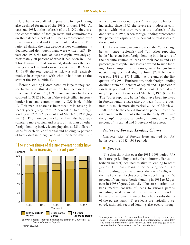U.S. banks' overall risk exposure to foreign lending also declined for most of the 1980s through 1992. At year-end 1982, at the outbreak of the LDC debt crisis, the concentration of foreign loans and commitments on the balance sheets of U.S. banks represented over seven times capital and 41 percent of total assets. This ratio fell during the next decade as new commitments declined and delinquent loans were written off.<sup>5</sup> By year-end 1992, the total of loans to capital was only approximately 30 percent of what it had been in 1982. This downward trend continued, slowly, over the next five years, as U.S. banks were recapitalized. By March 31, 1998, the total capital at risk was still relatively modest in comparison with what it had been at the start of the 1980s (table 1).

Foreign lending is dominated by large money-center banks, and this domination has increased over time. As of March 31, 1998, money-center banks accounted for \$312.2 billion of the \$426.9 billion in crossborder loans and commitments by U.S. banks (table 1). This market share has been steadily increasing in recent years, going from 62 percent of total foreign lending in 1982 to 73 percent as of March 31, 1998 (figure 1). The money-center banks have also had substantially more capital and assets at risk than all other foreign lending banks, leveraging almost 2.5 dollars of loans for each dollar of capital and holding 23 percent of total assets in foreign loans as of the same date. But



"The market shares of the money-center banks have

Figure 1

*Source:* Federal Financial Institutions Examination Council (FFIEC), *CountryExposure Reports.* \* March 31, 1998.

while the money-center banks' risk exposure has been increasing since 1992, the levels are modest in comparison with what they were at the outbreak of the debt crisis in 1982, when foreign lending represented 946 percent of capital and 47 percent of total assets for these banks.

Unlike the money-center banks, the "other large banks" (super-regionals) and "all other reporting banks" have cut back foreign lending both in terms of the absolute volume of loans on their books and as a percentage of capital and assets devoted to such lending. For example, the super-regionals' foreign loans outstanding declined slightly from \$77.8 billion at year-end 1982 to \$71.4 billion at the end of the first quarter of 1998. Furthermore, their foreign lending declined from 577 percent of capital and 31 percent of assets at year-end 1982 to 98 percent of capital and only 10 percent of assets as of March 31, 1998 (table 1). The "other reporting banks" that have been involved in foreign lending have also cut back from the business but much more dramatically. As of March 31, 1998, these banks carried almost 50 percent fewer foreign loans on their books than in the early 1980s, and the group's international lending amounted to only 27 percent of its capital and 3 percent of its assets.

#### *Nature of Foreign Lending Claims*

Characteristics of foreign loans granted by U.S. banks over the 1982-1998 period:

#### � *Borrower*

The data show that over the 1982-1998 period, U.S bank foreign lending to other bank intermediaries (interbank market) declined relative to lending to other groups. U.S. bank loans to the banking sector have been trending downward since the early 1980s, with the market share for this type of loan declining from 53 percent of total cross-border lending in 1982 to 32 percent in 1998 (figures 2 and 3). The cross-border interbank market consists of loans to various parties, including local financial institutions, correspondent banks, and, in some instances, branches or subsidiaries of the parent bank. These loans are typically unsecured, although secured lending also occurs through

5 Citicorp was the first U.S. bank to take a loss on its foreign lending portfolio. It wrote off approximately \$3.3 billion of international loans in 1987, and shortly thereafter most other major U.S. banks that engaged in international lending followed suit. *See* Curry (1997), 208.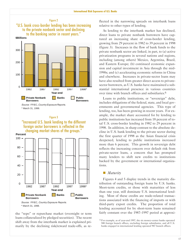

*Source:* FFIEC, *CountryExposure Reports.* \* March 31, 1998.

## Figure 3 "Increased U.S. bank lending to the different foreign sector borrowers is reflected in the changing market shares of the groups."

**Percent**



\* March 31, 1998.

the "repo" or repurchase market (overnight or term loans collateralized by pledged securities). The recent shift away from the interbank market is explained primarily by the declining risk/reward trade-offs, as reflected in the narrowing spreads on interbank loans relative to other types of lending.

As lending to the interbank market has declined, direct loans to private nonbank borrowers have captured an increasing share of cross-border lending, growing from 29 percent in 1982 to 39 percent in 1998 (figure 3). Increases in the flow of bank funds to the private nonbank sector are linked, in part, to (a) active privatization programs in several nations and regions, including (among others) Mexico, Argentina, Brazil, and Eastern Europe; (b) continued economic expansion and capital investment in Asia through the mid-1990s; and (c) accelerating economic reforms in China and elsewhere. Increases in private-sector loans may have also resulted from greater direct access to privatesector borrowers, as U.S. banks have maintained a substantial international presence in various countries over time with branch offices and subsidiaries.6

Loans to public institutions, or "sovereign" debt, includes obligations of the federal, state, and local governments and governmental agencies. This type of lending, too, has been growing in recent years. For example, the market share accounted for by lending to public institutions has increased from 18 percent of total U.S. cross-border lending in 1982 to 29 percent in 1998. In addition, in sharp contrast to the absolute decline in U.S. bank lending to the private sector during the first quarter of 1998 as the Asian financial crisis deepened, lending to public institutions increased more than 6 percent. This growth in sovereign debt reflects the increasing concern over default risk from privatesector loans, a concern that has prompted many lenders to shift new credits to institutions backed by the government or international organizations.

#### � *Maturity*

Figures 4 and 5 display trends in the maturity distribution of outstanding foreign loans by U.S. banks. Short-term credits, or those with maturities of less than one year, still dominate U.S. international lending. Most of these credits are trade-related transactions associated with the financing of imports or with third-party export credits. The proportion of total lending accounted for by short-term loans remained fairly constant over the 1987-1997 period at approxi-

<sup>&</sup>lt;sup>6</sup> For example, as of year-end 1997, the six money-center banks operated 580 foreign branch offices, excluding foreign subsidiaries, and all U.S. banks engaged in international lending operated 907 branch offices.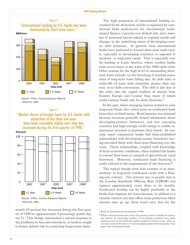

*S ource:* FFIEC, *Cou ntry Exposure Reports.* \* March 31, 1998.

#### Figure 5 "Market shares of foreign loans by U.S. banks with maturities of less than one year have been resonably stabile over time but increased during the first quarter of 1998."

**Percent**





mately 69 percent but increased during the first quarter of 1998 by approximately 4 percentage points (figure 5). This change represented a natural response to the problems in Asia and elsewhere, as lenders sought to lessen default risk by restricting longer-term loans.

The high proportion of international lending accounted for by short-term credits is explained by commercial bank preferences for international traderelated finance, concerns over default risk, and a number of structural factors related to regional trends and changes in the underlying status of developing-country debt positions. In general, most international banks have preferred to extend short-term trade credit, especially to developing countries, as opposed to medium or long-term credit. This is especially true for lending to Latin America, where creditor banks took severe losses in the wake of the 1980s debt crisis. Other reasons for the high level of outstanding shortterm loans include: (a) the bunching of residual maturities of long-term loans falling due, (b) debt sales or write-offs of loans with maturities greater than one year, or (c) debt conversions. The shift is also due to the entry into the capital markets of nations from Eastern Europe and Central Asia, many of which could contract funds only for short durations.7

In the past, when emerging nations wanted to raise long-term funds, they relied more on syndicated bank loans than on bond issues. Bond issuance was minimal because investors generally lacked information about developing-country borrowers, and few emerging countries had high-enough credit ratings to enable institutional investors to purchase their bonds. In contrast, many commercial banks had long-established relationships with developing-country borrowers, having provided them with short-term financing over the years. These relationships, coupled with knowledge of local economic conditions, often enabled the banks to extend their loans to unrated or speculatively rated borrowers. Moreover, syndicated bank financing is easily tailored to the requirements of the borrower.8

The typical foreign term loan consists of an intermediate- to long-term syndicated credit with a floating-rate contract. The interest rate is usually tied to the London Interbank Offering Rate (LIBOR) and reprices approximately every three to six months. Syndicated lending can be highly profitable to the banks that originate the loans because, in addition to a variable interest rate that offers some protection when interest rates go up, these loans carry fees for the

<sup>7</sup> Bank for International Settlements (1998).

<sup>8</sup> While syndicated loans have been the primary source of funds for emerging nations, an increasing number of developing countries have been gaining access to the bond and equity markets in recent years. This access has reduced the share of total emerging-nation borrowings that originate with commercial banks.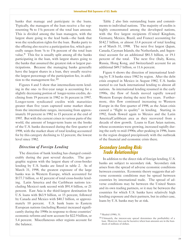banks that manage and participate in the loans. Typically, the managers of the loan receive a fee representing  $\frac{3}{8}$  to 1¼ percent of the total loan amount. This is divided among the loan managers, with the largest share going to the lead bank-the bank that won the syndication rights for the loan. Banks party to the offering also receive a participation fee, which generally ranges from  $\frac{1}{4}$  to  $\frac{1}{8}$  percent of the total loan value.9 This fee is usually split among all the banks participating in the loan, with largest shares going to the banks that assumed the greatest risk or largest participations. Because the managing banks generally have the largest shares in a loan, they usually receive the largest percentage of the participation fee, in addition to the management fee.<sup>10</sup>

Figures 4 and 5 show that intermediate-term lending in the one- to five-year range is accounting for a slightly decreasing portion of longer-terms credits, declining from 19 percent in 1982 to 16 percent in 1997. Longer-term syndicated credits with maturities greater than five years captured some market share from the intermediate ranges, increasing from approximately 10 percent in 1982 to 15 percent at the end of 1997. But with the current crises in various parts of the world, the amount of longer-term loans on the books of the U.S. banks decreased during the first quarter of 1998, with the market share of total lending accounted for by this category declining to 12 percent, the lowest level since 1982.

#### *Direction of Foreign Lending*

The direction of bank lending has changed considerably during the past several decades. The geographic regions with the largest share of cross-border lending by U.S. banks are listed in table 2. As of March 31, 1998, the greatest exposure of the large banks was in Western Europe, which accounted for \$177.7 billion, or 42 percent of total cross-border lending. Latin America and the Caribbean nations (excluding Mexico) rank second with \$91.4 billion, or 21 percent. East Asia is the third-largest destination for U.S. loans with \$63.9 billion, or 15 percent, followed by Canada and Mexico with \$40.7 billion, or approximately 10 percent. U.S. bank loans to Eastern European nations (including Russia) increased significantly during the 1990s in response to those countries' economic reforms and now account for \$22.9 billion, or 5.4 percent. Miscellaneous other regions account for the balance.

Table 2 also lists outstanding loans and commitments to individual nations. The majority of credits is highly concentrated among the developed nations, with the five largest recipients (United Kingdom, Germany, Mexico, Brazil, and France) accounting for \$142.7 billion, or almost 33.4 percent of total lending as of March 31, 1998. The next five largest (Japan, Canada, Cayman Islands, the Netherlands, and Argentina) account for an additional \$81.5 billion, or 19.1 percent of the total. The next five (Italy, Korea, Russia, Hong Kong, and Switzerland) account for an additional \$49.7 billion, or 11.6 percent.

Figure 6 shows the direction of international lending by U.S banks since 1982 by region. After the debt crisis erupted in Mexico in August 1982, U.S. banks started to cut back international lending to almost all nations. As international lending resumed in the early 1990s, the flow of funds moved rapidly toward Western Europe during the next five years. Furthermore, this flow continued increasing to Western Europe in the first quarter of 1998, as the Asian crisis caused a "flight to quality" in lending. Starting in 1992, funds flowed again to Mexico and the Latin America/Caribbean area as they recovered from a decade of slow growth. Loans to East Asian nations, whose economies were growing, increased rapidly during the early to mid-1990s; after peaking in 1996, loans to the region dropped precipitously with the outbreak of the financial and economic crisis there.

# **Secondary Lending Risk: Trade Relationships**

In addition to the direct risk of foreign lending, U.S. banks are subject to secondary risk. Secondary risk arises from the spread of adverse economic conditions between countries. Economic theory suggests that adverse economic conditions may be spread between countries by international trade. The spread of adverse conditions may be between the United States and its own trading partners, or it may be between the countries for which U.S. banks have relatively high lending exposure and their partners, but in either case, loans by U.S. banks may be at risk.

<sup>&</sup>lt;sup>9</sup> Madrid (1990), 51.

<sup>&</sup>lt;sup>10</sup> Ultimately, the interest-rate spread determines the profitability of a loan. However, fees can be lucrative when loan amounts are in the hundreds of millions of dollars.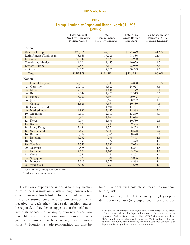#### **FDIC Banking Review**

#### Table 2 Foreign Lending by Region and Nation, March 31, 1998 (\$Millions)

|                |                         | <b>Total Amount</b><br>Owed by Borrowing<br>Region/Nation | Total<br>Commitments<br>for New Lending | Total U.S.<br>Cross-Border<br>Exposure | Risk Exposure as a<br>Percent of U.S.<br>Foreign Lending <sup>a</sup> |
|----------------|-------------------------|-----------------------------------------------------------|-----------------------------------------|----------------------------------------|-----------------------------------------------------------------------|
| Region         |                         |                                                           |                                         |                                        |                                                                       |
|                | <b>Western Europe</b>   | \$129,866                                                 | \$47,813                                | \$177,679                              | 41.6%                                                                 |
|                | Latin America/Caribbean | 73,665                                                    | 17,721                                  | 91,386                                 | 21.4                                                                  |
|                | East Asia               | 50,247                                                    | 13,673                                  | 63,920                                 | 15.0                                                                  |
|                | Canada and Mexico       | 29,204                                                    | 11,455                                  | 40,659                                 | 9.5                                                                   |
|                | <b>Eastern Europe</b>   | 19,873                                                    | 3,116                                   | 22,989                                 | 5.4                                                                   |
|                | All Other               | 22,523                                                    | 7,776                                   | 30,299                                 | 7.1                                                                   |
|                | Total                   | \$325,378                                                 | \$101,554                               | \$426,932                              | 100.0%                                                                |
| Nation         |                         |                                                           |                                         |                                        |                                                                       |
| $\mathbf{1}$   | United Kingdom          | 35,019                                                    | 19,009                                  | 54,028                                 | 12.7%                                                                 |
| 2              | Germany                 | 20,400                                                    | 4,527                                   | 24,927                                 | 5.8                                                                   |
| 3              | Mexico                  | 17,378                                                    | 4,101                                   | 21,479                                 | 5.0                                                                   |
| 4              | <b>Brazil</b>           | 19,344                                                    | 1,975                                   | 21,319                                 | 5.0                                                                   |
| 5              | France                  | 15,750                                                    | 5,193                                   | 20,943                                 | 4.9                                                                   |
| 6              | Japan                   | 15,119                                                    | 5,663                                   | 20,782                                 | 4.9                                                                   |
| $\overline{7}$ | Canada                  | 11,826                                                    | 7,354                                   | 19,180                                 | 4.5                                                                   |
| 8              | Cayman Islands          | 13,213                                                    | 1,491                                   | 14,704                                 | 3.4                                                                   |
| 9              | Netherlands             | 9,930                                                     | 3,655                                   | 13,585                                 | 3.2                                                                   |
| 10             | Argentina               | 10,609                                                    | 2,660                                   | 13,269                                 | 3.1                                                                   |
| 11             | Italy                   | 10,479                                                    | 1,165                                   | 11,644                                 | 2.7                                                                   |
| 12             | Korea                   | 9,194                                                     | 1,336                                   | 10,530                                 | 2.5                                                                   |
| 13             | Russia                  | 8,820                                                     | 743                                     | 9,563                                  | 2.2                                                                   |
| 14             | Hong Kong               | 7,681                                                     | 1,574                                   | 9,255                                  | 2.2                                                                   |
| 15             | Switzerland             | 5,653                                                     | 3,045                                   | 8,698                                  | 2.0                                                                   |
| 16             | Bermuda                 | 2,504                                                     | 5,966                                   | 8,470                                  | 2.0                                                                   |
| 17             | Belgium                 | 6,737                                                     | 736                                     | 7,473                                  | 1.8                                                                   |
| 18             | Spain                   | 6,395                                                     | 977                                     | 7,372                                  | 1.7                                                                   |
| 19             | Sweden                  | 3,753                                                     | 3,280                                   | 7,033                                  | 1.6                                                                   |
| 20             | Australia               | 4,875                                                     | 1,386                                   | 6,261                                  | 1.5                                                                   |
| 21             | Indonesia               | 4,108                                                     | 1,146                                   | 5,254                                  | 1.2                                                                   |
| 22             | Chile                   | 4,764                                                     | 444                                     | 5,208                                  | 1.2                                                                   |
| 23             | Singapore               | 4,025                                                     | 981                                     | 5,006                                  | 1.2                                                                   |
| 24             | Norway                  | 3,313                                                     | 1,572                                   | 4,885                                  | 1.1                                                                   |
| 25             | Venezuela               | 3,927                                                     | 753                                     | 4,680                                  | 1.1                                                                   |

*Source:* FFIEC, *Country Exposure Reports*.

aExcluding local-currency loans.

Trade flows (exports and imports) are a key mechanism in the transmission of risk among countries because countries closely linked by direct trade are more likely to transmit economic disturbances-positive or negative-to each other. Trade relationships tend to be regional, and evidence suggests that financial market disturbances (for example, currency crises) are more likely to spread among countries in close geographic proximity that have strong trade relationships.11 Identifying trade relationships can thus be

helpful in identifying possible sources of international lending risk.

For example, if the U.S. economy is highly dependent upon a country (or group of countries) for export

11 Glick and Rose (1998) and Eichengreen and Rose (1998) provide recent evidence that trade relationships are important to the spread of currency crises. Backus, Kehoe, and Kydland (1993), Stockman and Tesar (1995), and Fernald, Edison, and Loungani (1998) also find high correlations of economic variables among major industrialized countries that happen to have significant intercountry trade flows.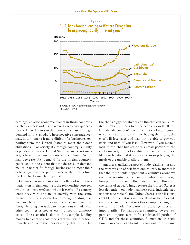

earnings, adverse economic events in those countries (such as a recession) may have negative consequences for the United States in the form of decreased foreign demand for U.S. goods. These negative consequences may, in turn, make it more difficult for businesses exporting from the United States to meet their debt obligations. Conversely, if a foreign country is highly dependent upon the United States as an export market, adverse economic events in the United States may decrease U.S. demand for the foreign country's goods, and to the extent that the decrease in demand makes it harder for foreign businesses to meet their debt obligations, the performance of their loans from the U.S. banks may be impaired.

Of particular importance to the effect of trade fluctuations on foreign lending is the relationship between where a country *lends* and where it *trades*. If a country lends heavily to and trades heavily with the same partner, the risk associated with foreign lending may increase, because in this case the risk component of foreign lending that is due to fluctuations in trade with other countries is not as easily offset by domestic loans. The scenario is akin to, for example, lending money to a chef to cook meals that you will buy back from the chef, with the understanding that you will be

the chef's biggest customer and the chef can sell a limited number of meals to other people as well. If you later decide you don't like the chef's cooking anymore or you can't afford to continue buying the meals, the chef will lose sales and may not be able to pay you back, and both of you lose. However, if you make a loan to the chef but are only a small portion of the chef's market, the chef's ability to repay the loan is less likely to be affected if you decide to stop buying the meals or are unable to afford them.

Another significant aspect of trade relationships and the transmission of risk from one country to another is that the more trade-dependent a country's economy, the more sensitive its economic condition and foreign loan performance are to fluctuations in trade flows and the terms of trade. Thus, because the United States is less dependent on trade than most other industrialized nations (see table 3), the United States is also less susceptible to fluctuations in trade flows or to the events that cause such fluctuations (for example, changes in the terms of trade, fluctuations in exchange rates, and import tariffs). For many other countries, however, exports and imports account for a substantial portion of GDP, and for these countries, fluctuations in trade flows can cause significant fluctuations in economic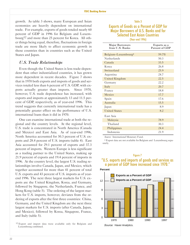growth. As table 3 shows, many European and Asian economies are heavily dependent on international trade. For example, exports of goods totaled nearly 60 percent of GDP in 1996 for Belgium and Luxembourg12 and more than 25 percent for Korea. All other things being equal, therefore, fluctuations in foreign trade are more likely to affect economic growth in these countries than in countries such as the United States and Japan.

#### *U.S. Trade Relationships*

Even though the United States is less trade-dependent than other industrialized countries, it has grown more dependent in recent decades. Figure 7 shows that in 1970 both exports and imports of goods and services totaled less than 6 percent of U.S. GDP, with exports actually greater than imports. Since 1970, however, U.S. trade dependence has increased, with exports and imports at approximately 13 and 11.5 percent of GDP, respectively, as of yearend 1996. This trend suggests that currently international trade has a potentially greater effect on the performance of U.S. international loans than it did in 1970.

One can examine international trade at both the regional and the country levels. At the regional level, U.S. trade is concentrated in North America (Canada and Mexico) and East Asia. As of yearend 1996, North America accounted for 30.3 percent of U.S. exports and 28.4 percent of U.S. imports (table 4). East Asia accounted for 29.1 percent of exports and 37.3 percent of imports. Western Europe is less significant as a trading partner to the United States, making up 21.9 percent of exports and 19.4 percent of imports in 1996. At the country level, the largest U.S. trading relationships involve Canada, Japan, and Mexico, which together accounted for more than 41 percent of total U.S. exports and 43 percent of U.S. imports as of yearend 1996. The next three largest markets for U.S. exports are the United Kingdom, Korea, and Germany, followed by Singapore, the Netherlands, France, and Hong Kong (table 5). The ordering of the largest markets for U.S. imports, however, deviates from the ordering of exports after the first three countries: China, Germany, and the United Kingdom are the next three largest markets for U.S. imports (after Canada, Japan, and Mexico), followed by Korea, Singapore, France, and Italy (table 5).

# Table 3 Exports of Goods as a Percent of GDP for Major Borrowers of U.S. Banks and for Major Borrowers of U.S. Banks and for<br>Selected East Asian Countries (Year-end 1996)

Major Borrowers Exports as a from U.S. Banks Percent of GDP Belgium-Luxembourg<sup>a</sup> 59.7% Netherlands 50.3 Canada 33.5 Korea 26.8 Switzerland 25.9 Argentina 24.7 United Kingdom 22.5 Germany 22.2 Italy 20.7 France 18.8 Mexico 17.7 Spain 17.6 Australia 15.5 Japan 8.9 United States 8.2 East Asia Malaysia 78.9 Thailand 30.3 Philippines 24.4 Indonesia 21.9

*Source:* International Monetary Fund.

a Export data are not available for Belgium and Luxembourg separately.

#### Figure 7

#### "U.S. exports and imports of goods and services as a percent of GDP have increased since 1970."





<sup>12</sup> Export and import data were available only for Belgium and Luxembourg combined.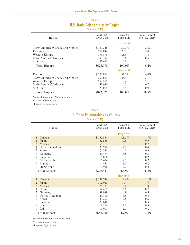#### **International Risk Exposures of U.S. Banks**

#### Table 4 U.S. Trade Relationships by Region (Year-end 1996)

| Region                            | Total U.S.<br>(\$Millions) | Percent of<br>Total U.S. | As a Percent<br>of U.S. GDP |
|-----------------------------------|----------------------------|--------------------------|-----------------------------|
|                                   |                            | Exports <sup>a</sup>     |                             |
| North America (Canada and Mexico) | \$189,345                  | 30.3%                    | 2.5%                        |
| East Asia                         | 182,044                    | 29.1                     | 2.4                         |
| Western Europe                    | 136,895                    | 21.9                     | 1.8                         |
| Latin America/Caribbean           | 35,312                     | 5.6                      | 0.5                         |
| All Other                         | 81,477                     | 13.0                     | 1.1                         |
| <b>Total Exports</b>              | \$625,073                  | 100.0%                   | $8.2\%$                     |
|                                   |                            | Imports <sup>b</sup>     |                             |
| East Asia                         | \$306,812                  | 37.3%                    | $4.0\%$                     |
| North America (Canada and Mexico) | 233,857                    | 28.4                     | 3.1                         |
| Western Europe                    | 159,271                    | 19.4                     | 2.1                         |
| Latin America/Caribbean           | 52,080                     | 6.3                      | 0.7                         |
| All Other                         | 70,005                     | 8.5                      | 0.9                         |
| <b>Total Imports</b>              | \$822,025                  | 100.0%                   | 10.8%                       |

*Source:* International Monetary Fund.

aExports of goods only.

bImports of goods only.

#### Table 5

#### U.S. Trade Relationships by Country (Year-end 1996)

|                | <b>Nation</b>        | Total U.S.<br>(\$Millions) | Percent of<br>Total U.S.    | As a Percent<br>of U.S. GDP |
|----------------|----------------------|----------------------------|-----------------------------|-----------------------------|
|                |                      |                            | <b>Exports</b> <sup>a</sup> |                             |
| 1              | Canada               | \$132,584                  | 21.2%                       | 1.7%                        |
| $\overline{c}$ | Japan                | 67,536                     | 10.8                        | 0.9                         |
| $\overline{3}$ | Mexico               | 56,761                     | 9.1                         | 0.7                         |
| 4              | United Kingdom       | 30,916                     | 4.9                         | 0.4                         |
| 5              | Korea                | 26,583                     | 4.3                         | 0.3                         |
| 6              | Germany              | 23,474                     | 3.8                         | 0.3                         |
| 7              | Singapore            | 16,686                     | 2.7                         | 0.2                         |
| 8              | Netherlands          | 16,614                     | 2.7                         | 0.2                         |
| 9              | France               | 14,431                     | 2.3                         | 0.2                         |
| 10             | Hong Kong            | 13,956                     | 2.2                         | 0.2                         |
|                | <b>Total Exports</b> | \$399,541                  | 63.9%                       | 5.2%                        |
|                |                      |                            | Importsb                    |                             |
| 1              | Canada               | \$159,746                  | 19.4%                       | 2.1%                        |
| $\overline{2}$ | Japan                | 117,963                    | 14.4                        | 1.5                         |
| 3              | Mexico               | 74,111                     | 9.0                         | 1.0                         |
| 4              | China                | 54,409                     | 6.6                         | 0.7                         |
| 5              | Germany              | 39,989                     | 4.9                         | 0.5                         |
| 6              | United Kingdom       | 29,700                     | 3.6                         | 0.4                         |
| 7              | Korea                | 23,297                     | 2.8                         | 0.3                         |
| 8              | Singapore            | 20,648                     | 2.5                         | 0.3                         |
| 9              | France               | 19,196                     | 2.3                         | 0.3                         |
| 10             | Italy                | 19,001                     | 2.3                         | 0.2                         |
|                | <b>Total Imports</b> | \$558,060                  | 67.9%                       | 7.3%                        |

*Source:* International Monetary Fund.

aExports of goods only.

bImports of goods only.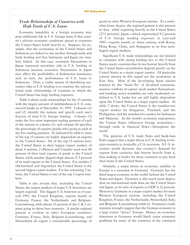## *Trade Relationships of Countries �ith �igh Totals of U.S. Loans*

Economic instability in a foreign economy may pose additional risk to U.S. foreign loans if that country's adverse economic conditions spread to countries the United States lends heavily to. Suppose, for example, that the economies of the United States and Indonesia are linked to one another through trade and bank lending and that Indonesia and Japan are similarly linked. In this case, economic fluctuations in Japan represent secondary risk to U.S. lending to Indonesia because economic fluctuations in Japan may affect the profitability of Indonesian businesses and, in turn, the performance of U.S. loans to Indonesia. Thus, a viable means of identifying secondary risks to U.S. lending is to examine the international trade relationships of countries to which the United States has large lending exposure.

Table 6 shows trade relationships for the 15 nations with the largest amount of indebtedness to U.S. commercial banks as of December 31, 1997. Columns (1) and (2) identify the nations and specify each one's fraction of total U.S. foreign lending. Column (3) ranks the five most important trading partners of each of the nations in column (1), and column (4) specifies the percentage of exports (goods only) going to each of the five trading partners. As indicated by table 6, most of the top 15 nations are highly dependent on exports to the United States. Six of the top 15 nations have the United States as their largest export market; of those 6 nations, 2 (Mexico and Canada) send over 80 percent of their total exports of goods to the United States, while another (Japan) ships almost 27.5 percent of its total exports to the United States. For another 2 (Switzerland and Argentina), the United States is the second-largest export market. For the remaining 7 nations, the United States is one of the top 5 export markets.

Table 6 also reveals that, excluding the United States, the export markets of major U.S. borrowers are largely regional. The biggest U.S. borrower as of yearend 1997, the United Kingdom, exports mainly to Germany, France, the Netherlands, and Belgium-Luxembourg, with almost 33 percent of the U.K.'s exports going to these four countries. A similar regional pattern is evident in other European countries: Germany, France, Italy, Belgium-Luxembourg, and Switzerland all export a considerable percentage of

goods to other Western European nations. To a somewhat lesser degree, the regional pattern is also present in Asia: while exporting heavily to the United States (27.5 percent), Japan-which represented 9.2 percent of U.S. foreign lending exposure at yearend 1997—exports mainly to Asian nations, with Korea, Hong Kong, China, and Singapore as its four nextlargest export markets.

Significant U.S. trade relationships are not limited to countries with strong lending ties to the United States; many countries that do not borrow heavily from the United States nevertheless depend greatly on the United States as a major export market. Of particular current interest in this regard are the economies in East Asia. Most of the developing Asian nations stricken by the "Asian flu" of devalued currencies, massive outflows of capital, stock market fluctuations, and banking sector instability are only moderately indebted to U.S. banks but are still highly dependent upon the United States as a major export market. As table 7 shows, the United States is the number-one export market for Singapore, Thailand, and the Philippines, and the number-two market for Indonesia and Malaysia. As the world's economic superpower, the United States influences foreign economiesthrough trade or financial flows-throughout the world.

The patterns of U.S. trade flows and bank-loan flows suggest that a major threat to U.S. lending to foreign countries is, ironically, a U.S. recession. A U.S. recession would decrease this country's demand for exports from countries that borrow heavily from it, thus making it harder for these countries to pay back their loans to the United States.

Similarly, a major threat to economic stability in Europe is a recession in Germany. Germany has the third-largest economy in the world, behind the United States and Japan. Germany is also much more dependent on international trade than are the United States and Japan, as its ratio of exports to GDP is 22 percent. Moreover, Germany is a major export market for most Western European nations, including the United Kingdom, France, the Netherlands, Switzerland, Italy, and Belgium-Luxembourg (table 6). Germany's trade statistics strongly suggest that the German economy to a large extent "drives" Europe. Hence, an economic downturn in Germany would likely cause economic problems for many of the countries of the continent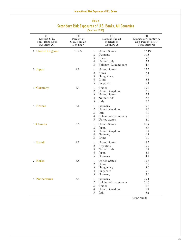| (1)<br>Largest U.S.<br><b>Bank Exposures</b><br>(Country A) | (2)<br>Percent of<br>U.S. Foreign<br>Lending <sup>a</sup> | (3)<br><b>Largest Export</b><br>Markets of<br>Country A                                                                                                     | (4)<br><b>Exports of Country A</b><br>as a Percent of Its<br><b>Total Exports</b> |
|-------------------------------------------------------------|-----------------------------------------------------------|-------------------------------------------------------------------------------------------------------------------------------------------------------------|-----------------------------------------------------------------------------------|
| 1 United Kingdom                                            | 10.2%                                                     | <b>United States</b><br>$\mathbf{1}$<br>$\overline{c}$<br>Germany<br>$\overline{3}$<br>France<br>$\overline{4}$<br>Netherlands<br>5<br>Belgium-Luxembourg   | 12.1%<br>11.3<br>9.3<br>7.3<br>4.7                                                |
| 2 Japan                                                     | 9.2                                                       | <b>United States</b><br>$\mathbf{1}$<br>$\overline{c}$<br>Korea<br>$\mathfrak{Z}$<br>Hong Kong<br>$\overline{4}$<br>China<br>5<br>Singapore                 | 27.5<br>7.1<br>6.2<br>5.3<br>5.1                                                  |
| 3 Germany                                                   | 7.4                                                       | France<br>$\mathbf{1}$<br>United Kingdom<br>$\overline{c}$<br>$\mathfrak{Z}$<br><b>United States</b><br>$\overline{4}$<br>Netherlands<br>5<br>Italy         | 10.7<br>7.9<br>7.7<br>7.3<br>7.3                                                  |
| 4 France                                                    | 6.1                                                       | $\mathbf{1}$<br>Germany<br>$\overline{c}$<br>United Kingdom<br>$\mathfrak{Z}$<br>Italy<br>$\overline{4}$<br>Belgium-Luxembourg<br>5<br><b>United States</b> | 16.8<br>9.2<br>9.0<br>8.2<br>6.0                                                  |
| 5 Canada                                                    | 5.6                                                       | <b>United States</b><br>$\mathbf{1}$<br>$\overline{c}$<br>Japan<br>$\mathfrak{Z}$<br>United Kingdom<br>$\overline{4}$<br>Germany<br>5<br>China              | 81.7<br>3.7<br>1.4<br>1.1<br>1.0                                                  |
| 6 Brazil                                                    | 4.2                                                       | $\mathbf{1}$<br><b>United States</b><br>$\overline{c}$<br>Argentina<br>Netherlands<br>3<br>$\overline{4}$<br>Japan<br>5<br>Germany                          | 19.5<br>10.9<br>7.4<br>6.4<br>4.4                                                 |
| 7 Korea                                                     | 3.8                                                       | <b>United States</b><br>$\mathbf{1}$<br>$\boldsymbol{2}$<br>China<br>3<br>Hong Kong<br>$\overline{4}$<br>Singapore<br>5<br>Germany                          | 16.8<br>8.9<br>8.6<br>5.0<br>3.6                                                  |
| 8 Netherlands                                               | 3.6                                                       | $\mathbf{1}$<br>Germany<br>$\overline{c}$<br>Belgium-Luxembourg<br>France<br>3<br>$\overline{4}$<br>United Kingdom<br>5<br>Italy                            | 25.1<br>11.6<br>9.7<br>8.4<br>5.2                                                 |

## Table 6 Secondary Risk Exposures of U.S. Banks, All Countries (Year-end 1996)

(continued)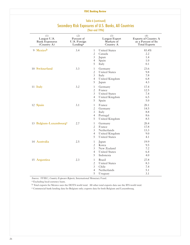| (1)<br>Largest U.S.<br><b>Bank Exposures</b><br>(Country A) | (2)<br>Percent of<br>U.S. Foreign<br>Lending <sup>a</sup> |                                                                         | (3)<br><b>Largest Export</b><br>Markets of<br>Country A                    | (4)<br><b>Exports of Country A</b><br>as a Percent of Its<br><b>Total Exports</b> |
|-------------------------------------------------------------|-----------------------------------------------------------|-------------------------------------------------------------------------|----------------------------------------------------------------------------|-----------------------------------------------------------------------------------|
| 9 Mexicob                                                   | 3.4                                                       | $\mathbf{1}$<br>$\overline{c}$<br>$\mathfrak{Z}$<br>$\overline{4}$<br>5 | <b>United States</b><br>Canada<br>Japan<br>Spain<br>Italy                  | 83.4%<br>2.2<br>1.4<br>1.0<br>0.1                                                 |
| 10 Switzerland                                              | 3.3                                                       | $\mathbf{1}$<br>$\overline{c}$<br>$\mathfrak{Z}$<br>$\overline{4}$<br>5 | Germany<br><b>United States</b><br>Italy<br>United Kingdom<br>Japan        | 23.6<br>9.8<br>7.8<br>6.8<br>4.3                                                  |
| 11 Italy                                                    | 3.2                                                       | $\mathbf{1}$<br>$\overline{c}$<br>$\mathfrak{Z}$<br>$\overline{4}$<br>5 | Germany<br>France<br><b>United States</b><br>United Kingdom<br>Spain       | 17.4<br>12.5<br>7.4<br>6.5<br>5.0                                                 |
| 12 Spain                                                    | 3.1                                                       | $\mathbf{1}$<br>$\overline{c}$<br>$\mathfrak{Z}$<br>$\overline{4}$<br>5 | France<br>Germany<br>Italy<br>Portugal<br>United Kingdom                   | 20.1<br>14.5<br>8.8<br>8.6<br>8.5                                                 |
| 13 Belgium-Luxembourge                                      | 2.7                                                       | $\mathbf{1}$<br>$\overline{c}$<br>$\mathfrak{Z}$<br>$\overline{4}$<br>5 | Germany<br>France<br>Netherlands<br>United Kingdom<br><b>United States</b> | 20.4<br>17.8<br>13.3<br>9.0<br>4.1                                                |
| 14 Australia                                                | 2.5                                                       | $\mathbf{1}$<br>$\overline{c}$<br>$\mathfrak{Z}$<br>$\overline{4}$<br>5 | Japan<br>Korea<br>New Zealand<br><b>United States</b><br>Indonesia         | 19.9<br>9.5<br>7.2<br>6.4<br>4.0                                                  |
| 15 Argentina                                                | 2.3                                                       | $\mathbf{1}$<br>$\overline{c}$<br>$\mathfrak{Z}$<br>$\overline{4}$<br>5 | Brazil<br><b>United States</b><br>Chile<br>Netherlands<br>Uruguay          | 27.8<br>8.3<br>7.4<br>5.1<br>3.1                                                  |

### Table 6 (continued) Secondary Risk Exposures of U.S. Banks, All Countries (Year-end 1996)

*Sources:* FFIEC, *Country Exposure Reports*; International Monetary Fund.

a Excluding local-currency loans.

b Total exports for Mexico uses the DOTS world total. All other total exports data use the IFS world total.

c Commercial bank lending data for Belgium only; exports data for both Belgium and Luxembourg.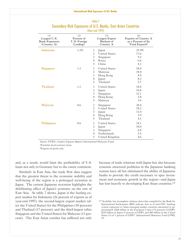| (1)<br>Largest U.S.<br><b>Bank Exposures</b><br>(Country A) | (2)<br>Percent of<br>U.S. Foreign<br>Lendinga |                                                                         | (3)<br>Largest Export<br>Markets of<br>Country A                            | (4)<br><b>Exports of Country A</b><br>as a Percent of Its<br>Total Exports <sup>b</sup> |
|-------------------------------------------------------------|-----------------------------------------------|-------------------------------------------------------------------------|-----------------------------------------------------------------------------|-----------------------------------------------------------------------------------------|
| Indonesia                                                   | 1.3%                                          | 1<br>$\overline{c}$<br>3<br>$\overline{4}$<br>5                         | Japan<br><b>United States</b><br>Singapore<br>Korea<br>China                | 25.9%<br>13.6<br>9.2<br>6.6<br>4.1                                                      |
| Singapore                                                   | 1.1                                           | $\mathbf{1}$<br>$\mathfrak{2}$<br>3<br>$\overline{4}$<br>5              | <b>United States</b><br>Malaysia<br>Hong Kong<br>Japan<br>Thailand          | 18.4<br>18.0<br>8.9<br>8.2<br>5.7                                                       |
| Thailand                                                    | 1.1                                           | $\mathbf{1}$<br>$\mathfrak{2}$<br>$\overline{3}$<br>$\overline{4}$<br>5 | <b>United States</b><br>Japan<br>Singapore<br>Hong Kong<br>Malaysia         | 18.0<br>16.8<br>12.1<br>5.8<br>3.6                                                      |
| Malaysia                                                    | 0.6                                           | $\mathbf{1}$<br>$\overline{c}$<br>3<br>$\overline{4}$<br>5              | Singapore<br><b>United States</b><br>Japan<br>Hong Kong<br>Thailand         | 20.4<br>18.2<br>13.4<br>5.9<br>4.1                                                      |
| <b>Philippines</b>                                          | 0.6                                           | $\mathbf{1}$<br>$\mathfrak{2}$<br>3<br>$\overline{4}$<br>5              | <b>United States</b><br>Japan<br>Singapore<br>Netherlands<br>United Kingdom | 34.1<br>18.0<br>6.0<br>5.5<br>4.6                                                       |

#### Table 7 Secondary Risk Exposures of U.S. Banks, East Asian Countries (Year-end 1997)

*Sources:* FFIEC, *Country Exposure Reports*; International Monetary Fund.

aExcludes local-currency loans.

bExports of goods only.

and, as a result, would limit the profitability of U.S. loans not only to Germany but to the entire continent.

Similarly in East Asia, the trade flow data suggest that the greatest threat to the economic stability and well-being of the region is a prolonged recession in Japan. The current Japanese recession highlights the debilitating effect of Japan's economy on the rest of East Asia. As table 7 shows, Japan is the leading export market for Indonesia (26 percent of exports as of year-end 1997), the second-largest export market (after the United States) for the Philippines (18 percent) and Thailand (17 percent), and the third-largest (after Singapore and the United States) for Malaysia (13 percent). The East Asian corridor has suffered not only

because of trade relations with Japan but also because systemic structural problems in the Japanese banking system have all but eliminated the ability of Japanese banks to provide the credit necessary to spur investment and economic growth in the region—and Japan has lent heavily to developing East Asian countries.<sup>13</sup>

<sup>13&</sup>quot;Available, but incomplete, balance-sheet data compiled by the Bank for International Settlements (BIS) indicate that as of mid-1997, banking system exposures to Asian emerging market countries amounted to approximately \$260 billion in the European Union (3¼ percent of GDP), \$210 billion in Japan (5 percent of GDP), and \$40 billion in the United States (½ of 1 percent of GDP)" (International Monetary Fund [1998], 25.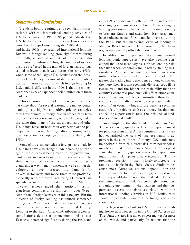# **Summary and Conclusions**

Trends in both the primary and secondary risks associated with the international lending activities of U.S. banks over the 1982-1998 period indicate that U.S. banks recovered from the heavy losses they incurred on foreign loans during the 1980s debt crisis; and in the 1990s they resumed international lending. But while foreign lending grew significantly during the 1990s, substantial amounts of new capital also came into the industry. Thus, the amount of risk exposure as reflected in the ratio of foreign loans to total capital is lower than it was during the early 1980s, when some of the largest U.S. banks faced the possibility of insolvency because of delinquent cross-border loans. Another way in which foreign lending by U.S. banks is different in the 1990s is that the moneycenter banks have expanded their domination of these markets.

This expansion of the role of money-center banks has come about for several reasons: the money-center banks pursue highly competitive pricing strategies, they have numerous foreign branch offices, they have the technical expertise to originate such loans, and at the same time many of the super-regional and other U.S. banks have cut back their origination of and participation in foreign lending, after incurring heavy loan losses on developing-country debt during the 1980s.

Some of the characteristics of foreign loans made by U.S. banks have also changed. An increasing percentage of these loans is being made to the private nonbank sector and away from the interbank market. The shift has occurred because active privatization programs under way in many nations, as well as other developments, have increased the demands for private-sector loans and made them more profitable, especially with the recent narrowing of interest-rate spreads on loans in the interbank market. Maturity, however, has not changed: the maturity of most foreign loans continues to be short term-over 70 percent of total foreign loans are in this category. But the direction of foreign lending has shifted somewhat: during the 1990s loans to Western Europe have accounted for an increasing share of total lending. Lending to the Latin American/Caribbean region resumed after a decade of retrenchment, and loans to East Asia increased significantly during the 1980s and

early 1990s but declined in the late 1990s, in response to changing circumstances in Asia. These changing lending patterns—the heavy concentration of lending to Western Europe and away from East Asia-may have reduced overall U.S. bank lending risk during the 1990s, but the increasing levels of lending to Mexico, Brazil and other Latin American/Caribbean region may partially offset the reduction.

In addition to the primary risks of international lending, bank supervisors have also become concerned about the secondary risks of such lending, risks that arise when economies are linked by trading relationships. Adverse economic disturbances are transmitted between countries by international trade. The greater the trading interdependence among countries, the more likely it is that economic disturbances will be transmitted, and the higher the probability that one country's economic problems will affect other countries. Economic problems transmitted through the trade mechanism affect not only the private nonbank sector of an economy but also the banking sector, as trade-related problems such as currency devaluations and falling exports can increase the incidence of credit risk and loan defaults.

An example of the direct risk is evident in Asia. The recession in Japan has reduced its import demand for products from other Asian countries. This in turn has jeopardized the loans of Japanese banks to exporters in these countries. Although U.S. banks may be sheltered from this direct risk they nevertheless may be exposed. Because most Asian nations depend somewhat upon the Japanese market for export earnings, indirect risk appears to have increased. Thus, a prolonged recession in Japan is likely to increase the total risk to banks in the United States. Similarly, because most European nations depend upon the German market for export earnings, a recession in Germany would also increase the total risk to banks in the United States. In today's increasingly international banking environment, when bankers and their supervisors assess the risks associated with the international lending activities of U.S. banks, they should be particularly aware of the linkages between economies.

The largest indirect risk to U.S. international lending, however, is a recession in the United States itself. The United States is a major export market for most of the world, and particularly for nations that the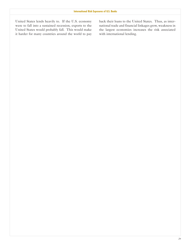it harder for many countries around the world to pay with international lending.

United States lends heavily to. If the U.S. economy back their loans to the United States. Thus, as interwere to fall into a sustained recession, exports to the national trade and financial linkages grow, weakness in United States would probably fall. This would make the largest economies increases the risk associated the largest economies increases the risk associated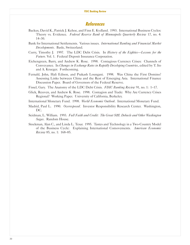# **References**

- Backus, David K., Patrick J. Kehoe, and Finn E. Kydland. 1993. International Business Cycles: Theory vs. Evidence. *Federal Reserve Bank of Minneapolis Quarterly Review* 17, no. 4: 14-30.
- Bank for International Settlements. Various issues. *International Banking and Financial Market Developments*. Basle, Switzerland.
- Curry, Timothy J. 1997. The LDC Debt Crisis. In *History of the Eighties-Lessons for the Future*. Vol. 1. Federal Deposit Insurance Corporation.
- Eichengreen, Barry, and Andrew K. Rose. 1998. Contagious Currency Crises: Channels of Conveyance. In *Changes in Exchange Rates in Rapidly Developing Countries*, edited by T. Ito and A. Krueger. Forthcoming.
- Fernald, John, Hali Edison, and Prakash Loungani. 1998. Was China the First Domino? Assessing Links between China and the Rest of Emerging Asia. International Finance Discussion Paper. Board of Governors of the Federal Reserve.

Fissel, Gary. The Anatomy of the LDC Debt Crisis. *FDIC Banking Review* 91, no. 1: 1-17.

- Glick, Reuven, and Andrew K. Rose. 1998. Contagion and Trade: Why Are Currency Crises Regional? Working Paper. University of California, Berkeley.
- International Monetary Fund. 1998. *World Economic Outlook*. International Monetary Fund.
- Madrid, Paul L. 1990. *Overexposed*. Investor Responsibility Research Center. Washington, DC.
- Seidman, L. William. 1993. *Full Faith and Credit: The Great S&L Debacle and Other Washington Sagas*. Random House.
- Stockman, Alan C., and Linda L. Tesar. 1995. Tastes and Technology in a Two-Country Model of the Business Cycle: Explaining International Comovements. *American Economic Review* 85, no. 1: 168-85.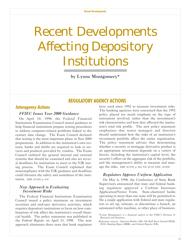# <span id="page-32-0"></span>Recent Developments Affecting Depository Institutions

by Lynne Montgomery\*

# **REGULATORY AGENCY ACTlONS**

# **lnteragency Actions**

#### *FFIEC Issues Year 2000 Guidance*

On April 10, 1998, the Federal Financial Institutions Examination Council issued guidance to help financial institutions prepare testing procedures to address computer-related problems linked to the century date change. The Exam Council declared that testing is the most important phase in Year 2000 preparations. In addition to the institution's own systems, banks and thrifts are required to look at services and products provided by vendors. The Exam Council outlined the general internal and external systems that should be examined and also set several deadlines for institutions to meet in the Y2K testing process. The Exam Council explained that noncompliance with the Y2K guidance and deadlines could threaten the safety and soundness of the institution. *BBR, 4/20/98, p. 634.*

#### *New Approach to Evaluating Investment Risks*

The Federal Financial Institutions Examination Council issued a policy statement on investment securities and end-user derivative activities, which requires depository institutions to focus on how combinations of risk affect the institution's overall financial health. The policy statement was published in the *Federal Register* on April 23, 1998. The new approach eliminates three tests that bank regulators have used since 1992 to measure investment risks. The banking agencies were concerned that the 1992 policy placed too much emphasis on the type of instrument involved, rather than the investment's risk characteristics and how they affected the institution's total risk profile. The new policy statement emphasizes that senior managers and directors should understand how the risks of an institution's investment portfolio affect the entire organization. The policy statement advises that determining whether a security or mortgage derivative product is an appropriate investment depends on a variety of factors, including the institution's capital level, the security's effect on the aggregate risk of the portfolio, and the management's ability to measure and manage the risks. *BBR, 4/27/98, p. 668; FIL-45-98, FDIC, 4/28/98.*

#### *Regulators Approve Uniform Application*

On May 6, 1998, the Conference of State Bank Supervisors announced that state and federal banking regulators approved a Uniform Interstate Application/Notice Form. State-chartered banks operating in more than one state will be permitted to file a single application with federal and state regulators to set up, relocate, or discontinue a branch, an automated teller machine, or other place of business.

<sup>\*</sup>Lynne Montgomery is a financial analyst in the FDIC's Division of Research and Statistics.

Reference sources: *American Banker* (AB); *The Wall Street Journal* (WSJ); *BNA's Banking Report* (BBR); and *Federal Register* (FR).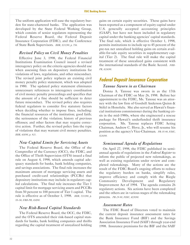The uniform application will ease the regulatory burden for state-chartered banks. The application was developed by the State Federal Working Group, which consists of senior regulators representing the Federal Reserve Board, the Federal Deposit Insurance Corporation (FDIC), and the Conference of State Bank Supervisors. *BBR, 5/11/98, p. 756.*

#### *Revised Policy on Civil Money Penalties*

Effective June 3, 1998, the Federal Financial Institutions Examination Council issued a revised interagency policy on the criteria agencies should use when assessing fines on depository institutions for violations of laws, regulations, and other misconduct. The revised joint policy replaces an existing civil money penalty policy statement, which was adopted in 1980. The updated policy statement eliminates unnecessary references to interagency coordination of civil money penalty proceedings and specifies that the amount of a fine should be sufficient to deter future misconduct. The revised policy also requires federal regulators to consider five statutory factors when deciding whether to impose fines, including: the financial resources of the institution; good faith; the seriousness of the violation; history of previous offenses; and other factors that may require corrective action. Further, the revised policy lists the type of violations that may warrant civil money penalties. *BBR, 6/8/98, p. 921.*

#### *New Capital Limits for Servicing Assets*

The Federal Reserve Board, the Office of the Comptroller of the Currency (OCC), the FDIC, and the Office of Thrift Supervision (OTS) issued a final rule on August 4, 1998, which amends capital adequacy standards for banks, bank holding companies, and savings associations. The final rule increases the maximum amount of mortgage servicing assets and purchased credit-card relationships (PCCRs) that depository institutions may include in regulatory capital calculations. The final rule increases the Tier 1 capital limit for mortgage servicing assets and PCCRs from 50 percent to 100 percent of Tier 1 capital. The rule is effective as of October 1, 1998. *BBR, 7/13/98, p. 55-56; FRB-PR, 8/4/98.*

#### *New Risk-Based Capital Standards*

The Federal Reserve Board, the OCC, the FDIC, and the OTS amended their risk-based capital standards for banks, bank holding companies and thrifts regarding the capital treatment of unrealized holding

gains on certain equity securities. These gains have been reported as a component of equity capital under U.S. generally accepted accounting principles (GAAP), but have not been included in regulatory capital under the banking agencies' capital standards. The final rule, which is effective October 1, 1998, permits institutions to include up to 45 percent of the pre-tax net unrealized holding gains on certain available-for-sale equity securities in supplementary capital (Tier 2). The final rule will make the capital treatment of these unrealized gains consistent with the international standards of the Basle Accord. *FRB-PR, 8/26/98.*

# **Federal Deposit lnsurance Corporation**

#### *Tanoue Sworn in as Chairman*

Donna A. Tanoue was sworn in as the 17th Chairman of the FDIC on May 26, 1998. Before her appointment to the FDIC, Ms. Tanoue was an attorney with the law firm of Goodsill Anderson Quinn & Stifel in Honolulu. She also served as Hawaii's financial institutions commissioner during the banking crisis in the mid-1980s, where she engineered a rescue package for Hawaii's underfunded thrift insurance corporation. Ms. Tanoue replaces FDIC Acting Chairman, Andrew C. Hove, Jr., who will resume his position as the agency's ViceChairman. *PR-35-98, FDIC, 5/26/98.*

#### *Semiannual Agenda of Regulations*

On April 27, 1998, the FDIC published its semiannual agenda of regulations in the *Federal Register* to inform the public of projected new rulemakings, as well as existing regulations under review and completed rulemakings. Many of the actions are the result of the FDIC Board's ongoing efforts to reduce the regulatory burden on banks, simplify rules, improve efficiency and comply with the Riegle Community Development and Regulatory Improvement Act of 1994. The agenda contains 26 regulatory actions. Six actions have been completed and the others are in various stages of the rulemaking process. *PR-29-98, FDIC, 4/29/98.*

#### *Assessment Rates*

The FDIC Board of Directors voted to maintain the current deposit insurance assessment rates for the Bank Insurance Fund (BIF) and the Savings Association Insurance Fund (SAIF) through year-end 1998. Insurance premiums for the BIF and the SAIF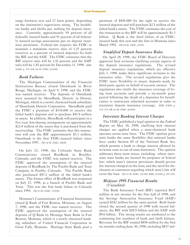range between zero and 27 basis points, depending on the institution's supervisory rating. The healthiest banks and thrifts pay nothing for deposit insurance. Currently, approximately 95 percent of all federally insured banks and 91 percent of all federally insured savings associations pay no deposit insurance premiums. Federal law requires the FDIC to maintain a minimum reserve ratio of 1.25 percent (reserves as a percent of insured deposits) for both the BIF and the SAIF. The FDIC estimates that the BIF reserve ratio will be 1.43 percent and the SAIF ratio will be 1.45 percent by December 31, 1998. *BBR, 5/4/98, p. 705; FIL-66-98, FDIC, 6/19/98.*

#### *Bank Failures*

The Michigan Commissioner of the Financial Institutions Bureau closed Omnibank in River Rouge, Michigan, on April 9, 1998, and the FDIC was named receiver. The deposits of Omnibank were assumed by ShoreBank, Detroit, in Detroit, Michigan, which is a newly chartered bank subsidiary of Shorebank Detroit Corporation. ShoreBank paid the FDIC a premium of \$154,000 to receive the failed bank's deposits and to purchase \$41.8 million in assets. In addition, ShoreBank will participate in a five-year loss-sharing arrangement on approximately \$23.8 million of the assets that it purchased from the receivership. The FDIC estimates that this transaction will cost the BIF approximately \$3.1 million. Omnibank is the first FDIC-insured failure since November 1997. *PR-24-98, FDIC, 4/9/98.*

On July 23, 1998, the Colorado State Bank Commissioner closed BestBank in Boulder, Colorado, and the FDIC was named receiver. The FDIC approved the assumption of the insured deposits of BestBank by The Pueblo Bank and Trust Company in Pueblo, Colorado. The Pueblo Bank also purchased \$47.2 million of the failed bank's assets. The former office of BestBank was reopened on July 27, 1998, as a branch of Pueblo Bank and Trust. This was the first bank failure in Colorado since 1993. *PR-50-98, FDIC, 7/25/98.*

Montana's Commissioner of Financial Institutions closed Q Bank of Fort Benton, Montana, on August 7, 1998, and the FDIC was named receiver. The FDIC approved the assumption of the insured deposits of Q Bank by Heritage State Bank in Fort Benton, Montana, which is a newly chartered banking subsidiary of United Financial Corporation in Great Falls, Montana. Heritage State Bank paid a premium of \$445,000 for the right to receive the insured deposits and will purchase \$2.5 million of the failed bank's assets. The FDIC estimates the cost of the transaction to the BIF will be approximately \$1.3 billion. Q Bank is the third failure of an FDICinsured bank this year and the first in Montana since March 1992. *PR-54-98, FDIC, 8/7/98.*

#### *Simplified Deposit Insurance Rules*

On April 28, 1998, the FDIC Board of Directors approved final revisions clarifying certain aspects of the deposit insurance regulations. The revised deposit insurance regulations, which are effective July 1, 1998, make three significant revisions to the insurance rules. The revised regulations give the FDIC more flexibility to insure deposits made by third-party agents on behalf of account owners. The regulations also clarify the insurance coverage of living trust accounts and provide a six-month grace period following the death of a depositor for beneficiaries to restructure inherited accounts in order to maximize deposit insurance coverage. *BBR, 5/4/98, p. 704-705; PR-26-98, FDIC, 4/28/98.*

#### *Interstate Banking Interest Charges*

The FDIC published a legal opinion in the *Federal Register* on May 18, 1998, clarifying how interest charges are applied when a state-chartered bank operates across state lines. The FDIC opinion gives state banks the same flexibility that national banks have under Section 85 of the National Bank Act, which permits a bank to charge interest allowed by its home state to out-of-state borrowers. The opinion addresses three main issues, including: where interstate state banks are located for purposes of federal law; which state's interest provisions should govern the interest charged on the loan; and the need for disclosures to customers regarding which state's law will cover the loan. *PR-33-98, FDIC, 5/13/98; BBR, 5/25/98, p. 851-852.*

#### *Midyear 1998 Financial Results (Unaudited)*

The Bank Insurance Fund (BIF) reported \$637 million in net income for the first half of 1998, and the Savings Association Insurance Fund (SAIF) earned \$242 million for the same period. Both funds closed the second quarter of 1998 with record balances, the BIF with \$28.9 billion and the SAIF with \$9.6 billion. The strong results are attributed to the continuing low numbers of bank and thrift failures. Revenue for the BIF totaled \$858 million for the first six months ending June 30, 1998, including \$827 mil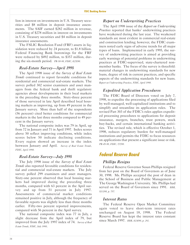lion in interest on investments in U.S. Treasury securities and \$8 million in deposit insurance assessments. The SAIF earned \$282 million in revenue, consisting of \$278 million in interest on investments in U.S. Treasury securities and \$4 million in deposit insurance assessments.

The FSLIC Resolution Fund (FRF) assets in liquidation were reduced by 24 percent, to \$1.8 billion. Federal Financing Bank borrowings for the FRF were reduced by \$492 million, to \$357 million, during the six-month period. *PR-58-98, FDIC, 8/25/98.* 

#### *Real-Estate Survey-April 1998*

The April 1998 issue of the *Survey of Real Estate Trends* continued to report favorable conditions for residential and commercial real-estate markets. The survey polled 302 senior examiners and asset managers from the federal bank and thrift regulatory agencies about developments in their local markets in the preceding three months. Sixty-three percent of those surveyed in late April described local housing markets as improving, up from 49 percent in the January survey. More than half of the respondents (56 percent) cited better conditions for commercial markets in the last three months compared to 49 percent in the January survey.

The national composite index was 79 in April, up from 72 in January and 71 in April 1997. Index scores above 50 reflect improving conditions, while index scores below 50 indicate declining conditions. Every region showed an increase in the index between January and April. *Survey of Real Estate Trends, FDIC, April 1998.*

#### *Real-Estate Survey-July 1998*

The July 1998 issue of the *Survey of Real Estate Trends* also reported favorable conditions for residential and commercial real-estate markets. The July survey polled 299 examiners and asset managers. Sixty-one percent observed that local housing markets had improved during the preceding three months, compared with 63 percent in the April survey and up from 51 percent in July 1997. Assessments of commercial market conditions remained positive in July, although the frequency of favorable reports was slightly less than three months earlier. Fifty-two percent reported improvements, compared with 56 percent in the April survey.

The national composite index was 77 in July, a slight decrease from the April index of 79, but improved from the July 1997 index of 74. *Survey of Real Estate Trends, FDIC, July 1998*.

#### *Report on Underwriting Practices*

The April 1998 issue of the *Report on Underwriting Practices* reported that banks' underwriting practices have weakened during the last year. The weakened standards are most evident in commercial real-estate and construction lending; however, the FDIC examiners noted early signs of adverse trends for all major types of loans. Implemented in early 1995, the survey of underwriting practices is aimed at providing early warnings of potential problems in underwriting practices at FDIC-supervised, state-chartered nonmember banks. The focus of the survey is threefold: material changes in underwriting standards for new loans, degree of risk in current practices, and specific aspects of the underwriting standards for new loans. *Report on Underwriting Practices, FDIC, April 1998.*

#### *Expedited Application Procedures*

The FDIC Board of Directors voted on July 7, 1998, to expedite the processing of applications filed by well-managed, well-capitalized institutions and to simplify and streamline its application rules. The revised Part 303 of the FDIC's rules applies expedited processing procedures to applications for deposit insurance, mergers, branches, trust powers, stock buy-backs, and certain international banking activities. The revised rule, which is effective October 1, 1998, reduces regulatory burden for well-managed institutions and permits the FDIC to focus resources on applications that present a significant issue or risk. *PR-45-98, FDIC, 7/7/98.*

# **Federal Reserve Board**

#### *Phillips Resigns*

Federal Reserve Governor Susan Phillips resigned from her post on the Board of Governors as of June 30, 1998. Ms. Phillips accepted the post of dean in the School of Business and Public Management at The George Washington University. Ms. Phillips had served on the Board of Governors since 1991. *BBR, 5/11/98, p. 757.*

#### *Interest Rates*

The Federal Reserve Open Market Committee again voted to leave short-term interest rates unchanged on August 18, 1998. The Federal Reserve Board has kept the interest rates constant since March 1997. *BBR, 8/24/98, p. 292.*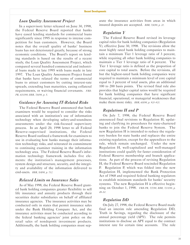#### *Loan �uality Assessment Pro�ect*

In a supervisory letter released on June 30, 1998, the Federal Reserve Board reported that banks have eased lending standards for commercial loans significantly since 1995 in response to intense competition for loan customers. However, the Board notes that the overall quality of banks' business loans has not deteriorated greatly, because of strong economic conditions. The Board's report on lending standards is based on the results of a recent study, the Loan Quality Assessment Project, which compared several hundred commercial and industrial loans made in late 1995 with loans made in late 1997. The Loan Quality Assessment Project found that banks have relaxed the terms of commercial loans to attract customers by cutting interest-rate spreads, extending loan maturities, easing collateral requirements, or waiving financial covenants. *FRB-PR, 6/30/98; BBR, 7/6/98, p. 5.*

#### *Guidance for Assessing IT-Related Risks*

The Federal Reserve Board announced that bank examiners would be required to consider the risks associated with an institution's use of information technology when developing safety-and-soundness assessments under the risk-focused supervisory process. In an April 20, 1998 letter to all Federal Reserve-supervised institutions, the Federal Reserve Board outlined a framework for examiners to use in evaluating how banks manage their information technology risks, and reiterated its commitment to continuing examiner training in the information technology area. The Federal Reserve Board's information technology framework includes five elements: the institution's management processes, system design and structure, security, and the integrity and availability of the information delivered to end-users. *BBR*,  $5/4/98$ , *p.* 712.

#### *Relaxed Limits on Insurance Sales*

As of May 1998, the Federal Reserve Board granted bank holding companies greater flexibility to sell life insurance and annuity products through their securities dealer subsidiaries on behalf of affiliated insurance agencies. The insurance activities may be conducted only in states that permit insurance sales under the Bank Holding Company Act, and the insurance activities must be conducted according to the federal banking agencies' joint policy on the retail sales of nondeposit investment products. Additionally, the bank holding companies must separate the insurance activities from areas in which insured deposits are accepted. *BBR, 7/6/98, p. 20.*

#### *Regulation Y*

The Federal Reserve Board revised its leverage capital rules for bank holding companies (Regulation Y), effective June 30, 1998. The revisions allow the most highly rated bank holding companies to maintain a minimum Tier 1 leverage ratio of 3 percent, while requiring all other bank holding companies to maintain a Tier 1 leverage ratio of 4 percent. The Tier 1 leverage ratio is defined as the proportion of core capital to total assets. Before the revisions, all but the highest-rated bank holding companies were required to maintain a minimum level of core capital equal to 3 percent of total assets, plus an additional 100 to 200 basis points. The revised final rule also provides that higher capital ratios would be required for bank holding companies that have significant financial, operational, or managerial weaknesses that make them more risky. *BBR, 6/8/98, p. 920-921.*

#### *Regulations H and P*

On July 7, 1998, the Federal Reserve Board announced final revisions to Regulation H, updating and clarifying its procedures for state-chartered banks to join the Federal Reserve System. The new Regulation H is intended to reduce the regulatory burden for state banks and replaces the entire existing regulation, except for the appendices to the rule, which remain unchanged. Under the new Regulation H, well-capitalized and well-managed institutions could qualify for faster consideration of Federal Reserve membership and branch applications. As part of the process of revising Regulation H, the Federal Reserve Board rescinded Regulation P. Regulation P, which was folded into the new Regulation H, implemented the Bank Protection Act of 1968 and required federal banking regulators to establish minimum standards for banks' security systems. The new Regulation H is effective beginning on October 1, 1998. *FRB-PR, 7/7/98; BBR, 7/13/98, p. 49-50.*

## *Regulation DD*

On July 27, 1998, the Federal Reserve Board made final an interim rule amending Regulation DD, Truth in Savings, regarding the disclosure of the annual percentage yield (APY). The rule permits institutions to disclose an APY equal to the contract interest rate for certain time accounts. The rule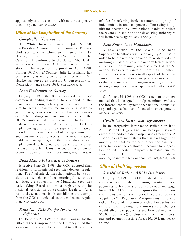applies only to time accounts with maturities greater than one year. *FRB-PR, 7/27/98.*

# **Office of the Comptroller of the Currency**

## *Comptroller Nomination*

The White House announced on July 16, 1998, that President Clinton intends to nominate Treasury Undersecretary for Domestic Finance John D. Hawke, Jr. to be the next Comptroller of the Currency. If confirmed by the Senate, Mr. Hawke would succeed Eugene A. Ludwig, who departed after his five-year term expired in April 1998. Former OCC Chief Counsel, Julie L. Williams, has been serving as acting comptroller since April. Mr. Hawke has served as Treasury Undersecretary for Domestic Finance since 1995. *BBR, 7/20/98, p. 96.*

# *Loan Underwriting Survey*

On July 13, 1998, the OCC announced that banks' commercial lending standards have slipped for the fourth year in a row, as heavy competition and pressure to increase loan volume are causing banks to grant more generous concessions to business borrowers. The findings are based on the results of the OCC's fourth annual survey of national banks' loan underwriting standards. As a result, the OCC is implementing a series of new supervisory initiatives intended to reverse the trend of sliding commercial and consumer credit practices. The new initiatives build on existing programs that have already been implemented to help national banks deal with an increase in problem loans that could result from an economic downturn. *NR 98-70, aCC, 7/13/98; BBR, 7/20/98, p. 95.*

# *Bank Municipal Securities Dealers*

Effective June 29, 1998, the OCC adopted final revisions to its municipal securities dealers' regulation. The final rule clarifies that national bank subsidiaries, which conduct municipal securities activities, are subject to the Municipal Securities Rulemaking Board and must register with the National Association of Securities Dealers. As a result, these national bank subsidiaries are exempt from the OCC's municipal securities dealers' regulation. *BBR, 6/1/98, p. 883.* 

## *Bank Can Take Fee for Insurance Referrals*

On February 27, 1998, the Chief Counsel for the Office of the Comptroller of the Currency ruled that a national bank would be permitted to collect a find-

er's fee for referring bank customers to a group of independent insurance agencies. The ruling is significant because it allows national banks to collect fee revenue in addition to their existing authority to sell insurance as agent. *BBR, 4/20/98, p. 651.*

# *New Supervision Handbooks*

A new version of the OCC's Large Bank Supervision handbook was issued on July 22, 1998, in order to help examiners develop more detailed and meaningful risk profiles of the nation's largest national banks. The manual, which is aimed at the 80 national banks with assets of more than \$1 billion, applies supervision by risk to all aspects of the supervisory process so that risks are properly assessed and evaluated across the entire organization, regardless of its size, complexity or geographic reach. *NR-98-75, aCC, 7/22/98.*

On August 24, 1998, the OCC issued another new manual that is designed to help examiners evaluate the internal control systems that national banks use to guard against fraud and financial mismanagement. *NR-98-87, aCC, 8/24/98.*

# *Credit-Card Suspension Agreements*

In an interpretive letter made available on June 23, 1998, the OCC gave a national bank permission to enter into credit-card debt suspension agreements. A suspension agreement states that, in exchange for a monthly fee paid by the cardholder, the bank will agree to freeze the cardholder's account for a specified period if certain temporary hardship circumstances occur. During the freeze, the cardholder is not charged interest, fees, or penalties. *BBR, 6/29/98, p. 1066.* 

# **Office of Thrift Supervision**

# *Simplified Rule on ARMs Disclosure*

On July 17, 1998, the OTS finalized a rule giving thrifts two options when disclosing potential interest payments to borrowers of adjustable-rate mortgage loans. The OTS's new rule requires thrifts to follow the provisions of the Federal Reserve Board's Regulation  $Z$ . Regulation  $Z$  requires institutions to either: (1) provide a borrower with a 15-year historical example showing how interest-rate changes would affect loan payments and loan balances on a \$10,000 loan, or (2) disclose the maximum interest rate and payment possible for a \$10,000 loan. *aTS 98- 50, 7/16/98.*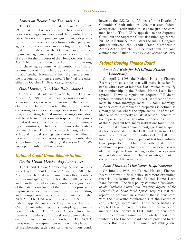#### *Limits on Repurchase Transactions*

The OTS approved a final rule on August 12, 1998, that prohibits reverse repurchase agreements between savings associations and their nonbank affiliates. In a reverse repurchase agreement, a depository institution buys securities from another party and agrees to sell them back later at a higher price. The final rule clarifies that the OTS will treat reverse repurchase agreements as loans or other extensions of credit for the purposes of the Home Owners' Loan Act. Therefore, thrifts will be barred from entering into these agreements with nonbank affiliates because reverse repurchase agreements are extensions of credit. Exemptions from the ban are possible if several conditions are met. The final rule takes effect on October 1, 1998. *BBR, 8/24/98, p. 301.*

#### *One-Member, One-Vote Rule Adopted*

Under a final rule announced by the OTS on August 27, 1998, mutual depository institutions with a one-member, one-vote provision in their current charters will be able to retain that authority when converting to a federal savings association. In addition, any existing federal mutual savings association will be able to adopt a one-vote-per-member provision if it desires. The new rule applies to all mutualtype institutions, including credit unions that wish to become thrifts. The rule expands the range of votes a federal mutual savings association may allow a member to cast on issues requiring membership action from the current 50 to 1,000 votes to 1 to 1,000 votes per member. *aTS 98-64, 8/27/98.*

# **National Credit Union Administration**

#### *Credit Union Membership Access Act*

The Credit Union Membership Access Act was signed by President Clinton on August 7, 1998. The Act permits federal credit unions to offer membership to multiple groups of less than 3,000 persons, and grandfathers all existing members and groups as of the date of enactment of the bill. Other provisions impose statutory limits on member business lending and prompt corrective action requirements on the NCUA. H.R. 1151 was introduced in 1997 after a federal appeals court ruled against the National Credit Union Administration's multiple-group membership policy. The Federal Credit Union Act requires members of federal employment-based credit unions to share a common bond. The NCUA interpreted that requirement to allow multiple fields of membership, each with its own common bond;

however, the U.S. Court of Appeals for the District of Columbia Circuit ruled in 1996 that each federal occupational credit union must share just one common bond. The NCUA appealed to the Supreme Court, but the Supreme Court also ruled against the NCUA in February 1998. After the ruling, Congress quickly initiated the Credit Union Membership Access Act to give the NCUA relief from the "one common bond" ruling. *NCUA PR, 8/4/98 and 8/7/98; BBR, 8/3/98.*

# **Federal Housing Finance Board** *Amended Rule for FHLBank System Membership*

On April 9, 1998, the Federal Housing Finance Board approved a rule that will make it easier for banks with assets of less than \$500 million to qualify for membership in the Federal Home Loan Bank System. Previous regulations required FHLBank System members to have at least 10 percent of their loans in home mortgage loans. A home mortgage loan for certain combination properties is defined as a mortgage loan where the appraised value of the residence on the property equals at least 50 percent of the appraisal value of the entire property. As a result of this 50 percent test, many institutions found it difficult to make enough home mortgage loans to qualify for membership in the FHLBank System. The new rule allows institutions with assets of \$500 million or less to ignore the 50 percent test for combination properties. The new rule states that combination property loans will be considered as residential property loans, as long as there is a permanent residential structure that is an integral part of the property. *BBR, 4/13/98, p. 612.*

#### *New Financial Disclosure Requirements*

On June 24, 1998, the Federal Housing Finance Board approved a final policy statement expanding financial disclosures by the Federal Home Loan Bank System. The final policy statement, *Disclosures in the Combined Annual and Quarterly Reports of the Federal Home Loan Bank System*, requires that the reports be prepared in a manner that is consistent with the disclosure requirements of the Securities and Exchange Commission. The Finance Board also adopted a final rule requiring that the financial statements of the individual FHLBanks are consistent with the combined annual and quarterly reports presented by the Finance Board and are provided to the Finance Board in a timely manner. *BBR, 6/29/98, p. 1064.*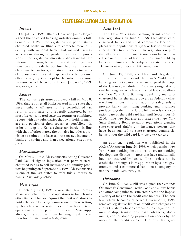# **STATE LEGlSLATlON AND REGULATlON**

#### *Illinois*

On July 30, 1998, Illinois Governor James Edgar signed the so-called banking industry omnibus bill, Senate Bill 1528. The legislation will permit statechartered banks in Illinois to compete more efficiently with national banks and insured savings associations through expanded "wild card" provisions. The legislation also establishes standards for information sharing between bank affiliate organizations, creates a safe harbor from liability in certain electronic transactions, and streamlines motor vehicle repossession rules. All aspects of the bill became effective on July 30, except for the auto repossession provision which becomes effective January 1, 1999. *BBR, 8/24/98, p. 289.*

#### *�ansas*

The Kansas legislature approved a bill on May 8, 1998, that requires all banks located in the state that have nonbank affiliates to file consolidated tax returns. Both state- and federally chartered banks must file consolidated state tax returns or combined reports with any subsidiaries that own, hold, or manage any portion of their securities portfolios. In order to keep the Kansas State tax burden in line with that of other states, the bill also includes a provision to reduce the base tax rate on net income of banks and savings-and-loan associations. *BBR, 5/18/98*, *p. 814.*

#### *Massachusetts*

On May 22, 1998, Massachusetts Acting Governor Paul Celluci signed legislation that permits statechartered banks to sell insurance and annuity products beginning on September 1, 1998. Massachusetts is one of the last states to offer this authority to banks. *BBR, 6/1/98, p. 883-884.*

#### *Mississippi*

Effective July 1, 1998, a new state law permits Mississippi-chartered trust operations to branch into other states. The law requires the trust operations to notify the state banking commissioner before setting up branches across state lines. Out-of-state trust operations will be permitted to enter Mississippi after getting approval from banking regulators in their home state. *American Banker, 6/17/98.*

#### *New York*

The New York State Banking Board approved final regulations on June 4, 1998, that allow statechartered banks and trust companies located in places with populations of 5,000 or less to sell insurance directly to customers. The regulations require that all credit and insurance transactions be completed separately. In addition, all insurance sold by banks and trusts will be subject to state Insurance Department regulations. *BBR, 6/15/98, p. 967.*

On June 19, 1998, the New York legislature approved a bill to extend the state's "wild card" banking law for two more years and expand the scope of the law to cover thrifts. The state's original wild card banking law, which was enacted last year, allows the New York State Banking Board to grant statechartered banks the same powers as federally chartered institutions. It also establishes safeguards to prevent banks from tying banking and insurance products together. The latest bill extends the expiration date of the wild card law until September 10, 2000. The new bill also authorizes the New York State Banking Board to adopt regulations granting state-chartered thrifts any insurance powers that have been granted to state-chartered commercial banks under the wild card law. *BBR, 6/29/98, p. 1052.*

An additional regulation was published in the *Federal Register* on June 24, 1998, which permits New York State banking institutions to create banking development districts in areas that have traditionally been underserved by banks. The districts can be established through a joint application by a local government and a commercial bank, trust company, or national bank. *BBR, 7/6/98, p. 19.*

#### *Oklahoma*

On June 5, 1998, a bill was signed that amends Oklahoma's Consumer Credit Code and allows banks and other companies to issue credit cards and impose a variety of fees on the credit-card holders. The new law, which becomes effective November 1, 1998, removes legislative limits on credit-card charges and allows Oklahoma-based companies to charge fees for membership, transactions, cash advances, documents, and for stopping payments on checks by the users of the credit cards. The new law gives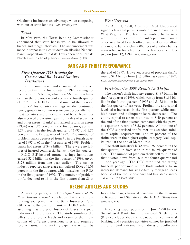Oklahoma businesses an advantage when competing with out-of-state lenders. *BBR, 6/15/98, p. 971.* 

#### *Texas*

In May 1998, the Texas Banking Commissioner announced that state banks would be allowed to branch and merge interstate. The announcement was made in response to a court decision allowing Nations-Bank Corporation to fold its Texas operations into its North Carolina headquarters. *American Banker, 5/15/98.* 

# **BANK AND THRlFT PERFORMANCE** *First-�uarter 1998 Results for*

#### *Commercial Banks and Savings Institutions* Insured commercial banks continued to produce

record profits in the first quarter of 1998, earning net income of \$15.9 billion, which was \$621 million higher than the previous record set in the fourth quarter of 1997. The FDIC attributed much of the increase in banks' first-quarter earnings to the continued strong growth in noninterest income, especially from trust activities and other sources of fees. Revenues also received a one-time gain from sales of securities and other assets. Banks' annualized return on assets (ROA) was 1.26 percent in the first quarter, up from 1.24 percent in the fourth quarter of 1997 and 1.25 percent in the first quarter of 1997. The number of problem banks decreased from 71 in the fourth quarter of 1997 to 67 in the first quarter of 1998. Problem banks had assets of \$4.8 billion. There were no failures of insured commercial banks in the first quarter.

FDIC BIF-insured mutual savings institutions earned \$2.6 billion in the first quarter of 1998, up by \$178 million from one year earlier. The savings industry reported an average annualized ROA of 1.03 percent in the first quarter, which matches the ROA in the first quarter of 1997. The number of problem thrifts declined to 16 in the first quarter from 21 at

funding arrangement of the Bank Insurance Fund *Series, 98-1, FDIC.* (BIF) is sufficient to maintain FDIC solvency, assuming that the prior history of losses is a good A working paper published in June 1998 by the

#### *West Virginia*

On April 1, 1998, Governor Cecil Underwood signed a law that permits mobile branch banking in West Virginia. The law limits mobile banks to a radius of 30 miles from the bank's permanent main office or a fixed branch office, and it does not allow any mobile bank within 2,000 feet of another bank's main office or branch office. The law became effective on June 12, 1998. *BBR, 4/13/98, p. 604.*

the end of 1997. However, assets of problem thrifts rose to \$2.3 billion from \$1.7 billion at year-end 1997. *FDIC Quarterly Banking Profile, First Quarter 1998.*

#### *First-�uarter 1998 Results for Thrifts*

The nation's thrift industry earned \$1.87 billion in the first quarter of 1998, which was up from \$1.66 billion in the fourth quarter of 1997 and \$1.73 billion in the first quarter of last year. Profitability and capital levels also increased in the first quarter, while troubled assets and delinquent loans decreased. The equity capital to assets ratio rose to 8.40 percent at the end of the first quarter, compared with the previous quarter's record of 8.32 percent. All but one of the OTS-supervised thrifts met or exceeded minimum capital requirements, and 98 percent of the thrifts were in the highest capital category (well-capitalized) at the end of March 1998.

The thrift industry's ROA was 0.97 percent in the first quarter, up from 0.87 in the fourth quarter of 1997. The number of problem thrifts fell to 14 in the first quarter, down from 18 in the fourth quarter and 30 one year ago. The OTS attributed the strong financial performance of the thrift industry to an increased demand for single-family mortgage loans because of the robust economy and low, stable interest rates. *aTS 98-45, 6/3/98.*

# **RECENT ARTlCLES AND STUDlES**

A working paper, entitled *Capitalization of the* Kevin Sheehan, a financial economist in the Division *Bank Insurance Fund*, concludes that the current of Research and Statistics at the FDIC. *Working Paper*

indicator of future losses. The study simulates the Swiss-based Bank for International Settlements BIF's future reserve levels and examines the impli-<br>
(BIS) concludes that the separation of commercial cations of different assessment rates and required banking and securities activities cannot be justified reserve ratios. The working paper was written by either on bank safety-and-soundness or conflict-of-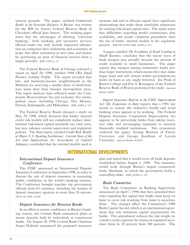#### **FDlC Banking Review**

interest grounds. The paper, entitled *Commercial Banks in the Securities Business: A Review*, was written for the BIS by former Federal Reserve Bank of Cleveland official Joao Santos. The working paper notes that the advantages of allowing "universal banking," both banking and securities services offered under one roof, include improved information on companies they underwrite and economies of scope that allow consumers to save time and money by purchasing an array of financial services from a single provider. *BBR, 7/6/98, p. 37.*

The Federal Reserve Bank of Chicago released a report on April 28, 1998, entitled *1996 CRA Small Business Lending Profile*. The report revealed that low- and moderate-income neighborhoods in the Midwest are receiving a smaller share of small-business loans than their broader metropolitan areas. The report analyzes data collected under the Community Reinvestment Act and evaluates five metropolitan areas, including Chicago, Des Moines, Detroit, Indianapolis, and Milwaukee. *BBR, 5/4/98, p. 714.*

The Federal Reserve Board released a study on May 29, 1998, which declared that banks' internal credit risk models will not completely replace international risk-based capital standards any time soon, but may enhance current supervisory and regulatory policies. The final report, entitled *Credit Risk Models at Major U.S. Banking Institutions: Current State of the Art and Implications for Assessments of Capital Adequacy*, concluded that the internal models used to

measure risk and to allocate capital have significant shortcomings that make them unreliable substitutes for existing risk-based capital rules. The study states that difficulties regarding model construction, data availability, and model validation procedures limit the use of banks' internal models in the regulatory process. *FRB PR 5/29/98; BBR, 6/8/98, p. 920.*

A paper, entitled *The Evolution of Bank Lending to Small Business*, concludes that the recent wave of bank mergers may actually increase the amount of credit available to small businesses. The paper reports that mergers among community banks produce larger institutions, which means they may make larger loans and still remain within government-set limits on loans to any single borrower. Joe Peek of Boston College and Eric S. Rosengren of the Federal Reserve Bank of Boston performed the study. *American Banker, 5/8/98.*

*Deposit Insurance Reform in the FDIC Improvement Act: The Experience to Date* reports that a 1991 law meant to restore the industry's health and avoid banking crises appears to be working. The Federal Deposit Insurance Corporation Improvement Act appears to be preventing banks from taking excessive risks and encouraging regulators to sanction financially troubled institutions. Two economists authored the paper, George Benston of Emory University and George Kaufman of Loyola University. *American Banker, 8/28/98.*

# **lNTERNATlONAL DEVELOPMENTS**

#### *International Deposit Insurance Conference*

The FDIC sponsored an International Deposit Insurance Conference in September 1998, in order to discuss the role of deposit insurance in sustaining public confidence in the world's banking systems. The Conference brought together top government officials from 63 countries, including the leaders of deposit insurance agencies in more than 20 nations. *PR-61-98, FDIC, 9/1/98.*

#### *Deposit Insurance for Russian Banks*

In an effort to restore confidence in Russia's banking system, the Central Bank announced plans to insure deposits held by individuals at commercial banks. On August 20, 1998, Central Bank Chairman Sergei Dubinin announced the proposed insurance

plan and stated that it would cover all bank deposits established before August 1, 1998. The insurance would work through Russia's largest commercial bank, Sberbank, in which the government holds a controlling stake. *BBR, 8/24/98, p. 308.*

#### *Basle Committee*

The Basle Committee on Banking Supervision announced on April 7, 1998, that they amended their rules regarding the capital that banks must keep on hand to cover risk resulting from loans to securities firms. The changes affect the Committee's 1988 Basle Capital Accord, which is an international agreement that sets minimum capital requirements for banks. The amendment reduces the risk weight on a bank's credit exposure for claims on regulated securities firms to 20 percent from 100 percent. The